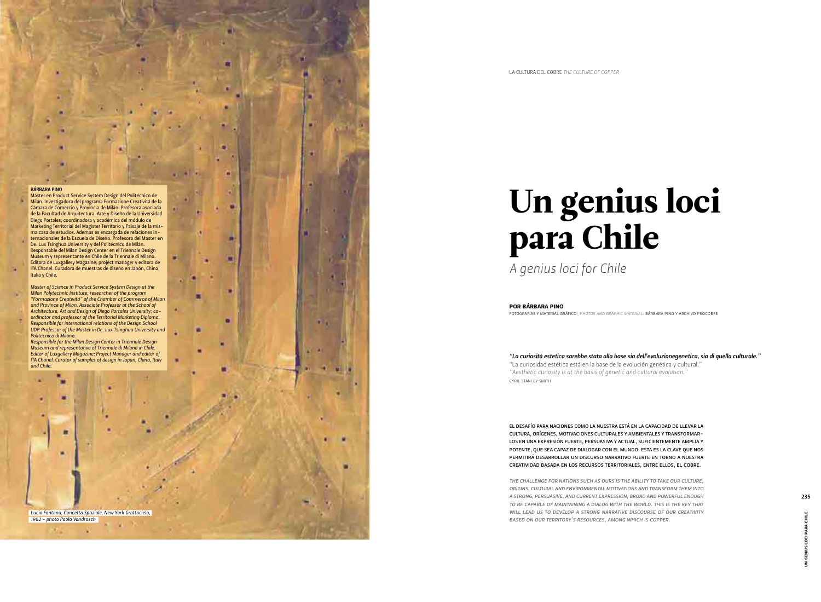*"La curiosità estetica sarebbe stata alla base sia dell'evoluzionegenetica, sia di quella culturale."* "La curiosidad estética está en la base de la evolución genética y cultural." *"Aesthetic curiosity is at the basis of genetic and cultural evolution."* CYRIL STANLEY SMITH

EL DESAFÍO PARA NACIONES COMO LA NUESTRA ESTÁ EN LA CAPACIDAD DE LLEVAR LA CULTURA, ORÍGENES, MOTIVACIONES CULTURALES Y AMBIENTALES Y TRANSFORMAR-LOS EN UNA EXPRESIÓN FUERTE, PERSUASIVA Y ACTUAL, SUFICIENTEMENTE AMPLIA Y POTENTE, QUE SEA CAPAZ DE DIALOGAR CON EL MUNDO. ESTA ES LA CLAVE QUE NOS PERMITIRÁ DESARROLLAR UN DISCURSO NARRATIVO FUERTE EN TORNO A NUESTRA CREATIVIDAD BASADA EN LOS RECURSOS TERRITORIALES, ENTRE ELLOS, EL COBRE.

Máster en Product Service System Design del Politécnico de Milán. Investigadora del programa Formazione Creativitá de la Cámara de Comercio y Provincia de Milán. Profesora asociada de la Facultad de Arquitectura, Arte y Diseño de la Universidad Diego Portales; coordinadora y académica del módulo de Marketing Territorial del Magíster Territorio y Paisaje de la misma casa de estudios. Además es encargada de relaciones internacionales de la Escuela de Diseño. Profesora del Master en De. Lux Tsinghua University y del Politécnico de Milán. Responsable del Milan Design Center en el Triennale Design Museum y representante en Chile de la Triennale di Milano. Editora de Luxgallery Magazine; project manager y editora de ITA Chanel. Curadora de muestras de diseño en Japón, China, Italia y Chile.

> *THE CHALLENGE FOR NATIONS SUCH AS OURS IS THE ABILITY TO TAKE OUR CULTURE, ORIGINS, CULTURAL AND ENVIRONMENTAL MOTIVATIONS AND TRANSFORM THEM INTO A STRONG, PERSUASIVE, AND CURRENT EXPRESSION, BROAD AND POWERFUL ENOUGH TO BE CAPABLE OF MAINTAINING A DIALOG WITH THE WORLD. THIS IS THE KEY THAT WILL LEAD US TO DEVELOP A STRONG NARRATIVE DISCOURSE OF OUR CREATIVITY BASED ON OUR TERRITORY'S RESOURCES, AMONG WHICH IS COPPER.*

## BÁRBARA PINO

*Master of Science in Product Service System Design at the Milan Polytechnic Institute, researcher of the program "Formazione Creativitá" of the Chamber of Commerce of Milan and Province of Milan. Associate Professor at the School of Architecture, Art and Design of Diego Portales University; coordinator and professor of the Territorial Marketing Diploma. Responsible for international relations of the Design School UDP. Professor of the Master in De. Lux Tsinghua University and Politecnico di Milano.*

*Responsible for the Milan Design Center in Triennale Design Museum and representative of Triennale di Milano in Chile. Editor of Luxgallery Magazine; Project Manager and editor of ITA Chanel. Curator of samples of design in Japan, China, Italy and Chile.*

*Lucio Fontana, Concetto Spaziale, New York Grattacielo, 1962 - photo Paolo Vandrasch*

# Un genius loci para Chile

*A genius loci for Chile*

FOTOGRAFÍAS Y MATERIAL GRÁFICO*\_PHOTOS AND GRAPHIC MATERIAL:* BÁRBARA PINO Y ARCHIVO PROCOBRE

# POR BÁRBARA PINO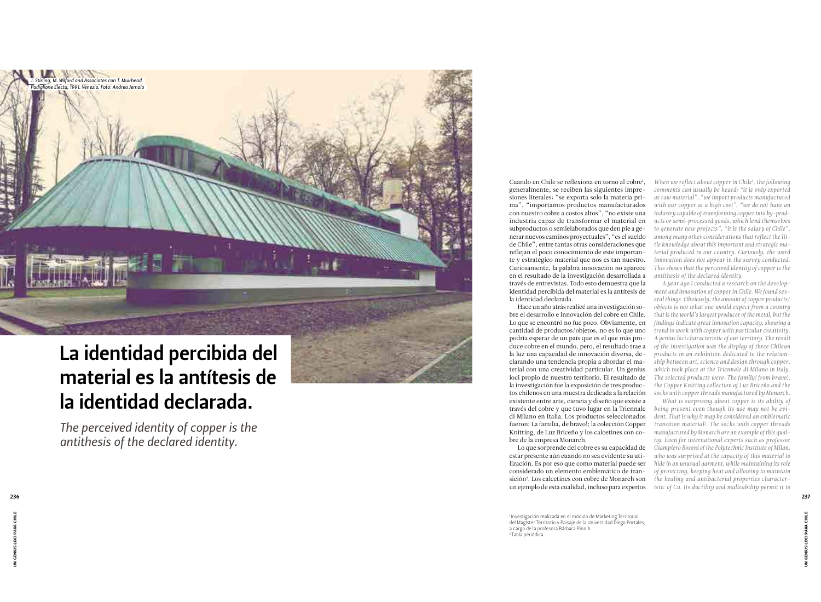Cuando en Chile se reflexiona en torno al cobre 1 , generalmente, se reciben las siguientes impre siones literales: "se exporta solo la materia pri ma", "importamos productos manufacturados con nuestro cobre a costos altos", "no existe una industria capaz de transformar el material en subproductos o semielaborados que den pie a ge nerar nuevos caminos proyectuales", "es el sueldo de Chile", entre tantas otras consideraciones que reflejan el poco conocimiento de este importan te y estratégico material que nos es tan nuestro. Curiosamente, la palabra innovación no aparece en el resultado de la investigación desarrollada a través de entrevistas. Todo esto demuestra que la identidad percibida del material es la antítesis de la identidad declarada.

Hace un año atrás realicé una investigación so bre el desarrollo e innovación del cobre en Chile. Lo que se encontró no fue poco. Obviamente, en cantidad de productos/objetos, no es lo que uno podría esperar de un país que es el que más pro duce cobre en el mundo, pero, el resultado trae a la luz una capacidad de innovación diversa, de clarando una tendencia propia a abordar el ma terial con una creatividad particular. Un genius loci propio de nuestro territorio. El resultado de la investigación fue la exposición de tres produc tos chilenos en una muestra dedicada a la relación existente entre arte, ciencia y diseño que existe a través del cobre y que tuvo lugar en la Triennale di Milano en Italia. Los productos seleccionados fueron: La familia, de bravo!; la colección Copper Knitting, de Luz Briceño y los calcetines con co bre de la empresa Monarch.

Lo que sorprende del cobre es su capacidad de estar presente aún cuando no sea evidente su uti lización. Es por eso que como material puede ser considerado un elemento emblemático de tran sición 2 . Los calcetines con cobre de Monarch son un ejemplo de esta cualidad, incluso para expertos

1 Investigación realizada en el módulo de Marketing Territorial del Magíster Territorio y Paisaje de la Universidad Diego Portales, a cargo de la profesora Bárbara Pino A. 2 Tabla periódica

# La identidad percibida del material es la antítesis de la identidad declarada.

*The perceived identity of copper is the antithesis of the declared identity.*

*When we reflect about copper in Chile1 , the following comments can usually be heard: "it is only exported as raw material", "we import products manufactured with our copper at a high cost", "we do not have an industry capable of transforming copper into by-prod ucts or semi-processed goods, which lend themselves to generate new projects", "it is the salary of Chile", among many other considerations that reflect the lit tle knowledge about this important and strategic ma terial produced in our country. Curiously, the word innovation does not appear in the survey conducted. This shows that the perceived identity of copper is the antithesis of the declared identity.*

*A year ago I conducted a research on the develop ment and innovation of copper in Chile. We found sev eral things. Obviously, the amount of copper products/ objects is not what one would expect from a country that is the world's largest producer of the metal, but the findings indicate great innovation capacity, showing a trend to work with copper with particular creativity. A genius loci characteristic of our territory. The result of the investigation was the display of three Chilean products in an exhibition dedicated to the relation ship between art, science and design through copper, which took place at the Triennale di Milano in Italy. The selected products were: The family! from bravo!, the Copper Knitting collection of Luz Briceño and the socks with copper threads manufactured by Monarch.* 

*What is surprising about copper is its ability of being present even though its use may not be evi dent. That is why it may be considered an emblematic transition material2 . The socks with copper threads manufactured by Monarch are an example of this qual ity. Even for international experts such as professor Giampiero Bosoni of the Polytechnic Institute of Milan, who was surprised at the capacity of this material to hide in an unusual garment, while maintaining its role of protecting, keeping heat and allowing to maintain the healing and antibacterial properties character istic of Cu. Its ductility and malleability permit it to* 

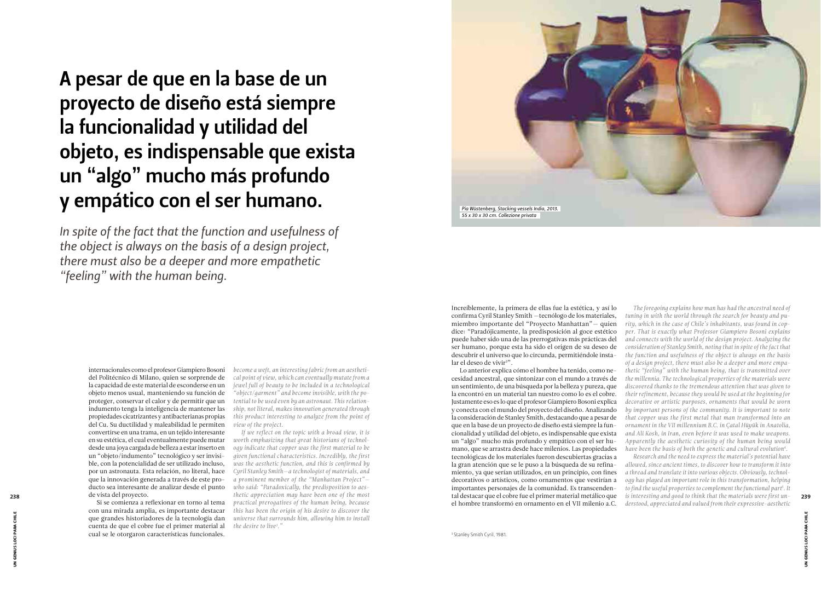internacionales como el profesor Giampiero Bosoni del Politécnico di Milano, quien se sorprende de la capacidad de este material de esconderse en un objeto menos usual, manteniendo su función de proteger, conservar el calor y de permitir que un indumento tenga la inteligencia de mantener las propiedades cicatrizantes y antibacterianas propias del Cu. Su ductilidad y maleabilidad le permiten convertirse en una trama, en un tejido interesante en su estética, el cual eventualmente puede mutar desde una joya cargada de belleza a estar inserto en un "objeto/indumento" tecnológico y ser invisible, con la potencialidad de ser utilizado incluso, por un astronauta. Esta relación, no literal, hace que la innovación generada a través de este prode vista del proyecto.

Si se comienza a reflexionar en torno al tema con una mirada amplia, es importante destacar que grandes historiadores de la tecnología dan cuenta de que el cobre fue el primer material al cual se le otorgaron características funcionales.

# A pesar de que en la base de un proyecto de diseño está siempre la funcionalidad y utilidad del objeto, es indispensable que exista un "algo" mucho más profundo y empático con el ser humano.

*In spite of the fact that the function and usefulness of the object is always on the basis of a design project, there must also be a deeper and more empathetic "feeling" with the human being.*

> Increíblemente, la primera de ellas fue la estética, y así lo confirma Cyril Stanley Smith —tecnólogo de los materiales, miembro importante del "Proyecto Manhattan"— quien dice: "Paradójicamente, la predisposición al goce estético puede haber sido una de las prerrogativas más prácticas del ser humano, porque esta ha sido el origen de su deseo de descubrir el universo que lo circunda, permitiéndole instalar el deseo de vivir3 ".

ducto sea interesante de analizar desde el punto *who said: "Paradoxically, the predisposition to aes-If we reflect on the topic with a broad view, it is worth emphasizing that great historians of technology indicate that copper was the first material to be given functional characteristics. Incredibly, the first was the aesthetic function, and this is confirmed by Cyril Stanley Smith—a technologist of materials, and a prominent member of the "Manhattan Project" thetic appreciation may have been one of the most practical prerogatives of the human being, because this has been the origin of his desire to discover the universe that surrounds him, allowing him to install the desire to live3 ."* 

Lo anterior explica cómo el hombre ha tenido, como necesidad ancestral, que sintonizar con el mundo a través de un sentimiento, de una búsqueda por la belleza y pureza, que la encontró en un material tan nuestro como lo es el cobre. Justamente eso es lo que el profesor Giampiero Bosoni explica y conecta con el mundo del proyecto del diseño. Analizando la consideración de Stanley Smith, destacando que a pesar de que en la base de un proyecto de diseño está siempre la funcionalidad y utilidad del objeto, es indispensable que exista un "algo" mucho más profundo y empático con el ser humano, que se arrastra desde hace milenios. Las propiedades tecnológicas de los materiales fueron descubiertas gracias a la gran atención que se le puso a la búsqueda de su refinamiento, ya que serían utilizados, en un principio, con fines decorativos o artísticos, como ornamentos que vestirían a importantes personajes de la comunidad. Es transcenden**thetic appreciation may have been one of the most** that destacar que el cobre fue el primer material metálico que is interesting and good to think that the materials were first un-<br>
239 el hombre transformó en ornamento en el VII milenio a.C.

*become a weft, an interesting fabric from an aesthetical point of view, which can eventually mutate from a jewel full of beauty to be included in a technological "object/garment" and become invisible, with the potential to be used even by an astronaut. This relationship, not literal, makes innovation generated through this product interesting to analyze from the point of view of the project.* 

*The foregoing explains how man has had the ancestral need of tuning in with the world through the search for beauty and purity, which in the case of Chile's inhabitants, was found in copper. That is exactly what Professor Giampiero Bosoni explains and connects with the world of the design project. Analyzing the consideration of Stanley Smith, noting that in spite of the fact that the function and usefulness of the object is always on the basis of a design project, there must also be a deeper and more empathetic "feeling" with the human being, that is transmitted over the millennia. The technological properties of the materials were discovered thanks to the tremendous attention that was given to their refinement, because they would be used at the beginning for decorative or artistic purposes, ornaments that would be worn by important persons of the community. It is important to note that copper was the first metal that man transformed into an ornament in the VII millennium B.C. in Çatal Hüyük in Anatolia, and Ali Kosh, in Iran, even before it was used to make weapons. Apparently the aesthetic curiosity of the human being would have been the basis of both the genetic and cultural evolution4 . Research and the need to express the material's potential have allowed, since ancient times, to discover how to transform it into a thread and translate it into various objects. Obviously, technology has played an important role in this transformation, helping to find the useful properties to complement the functional part5 . It is interesting and good to think that the materials were first un-*

*derstood, appreciated and valued from their expressive-aesthetic* 

*Pia Wüstenberg, Stacking vessels India, 2013. 55 x 30 x 30 cm. Collezione privata*



UN GENIUS LOCI PARA CHILE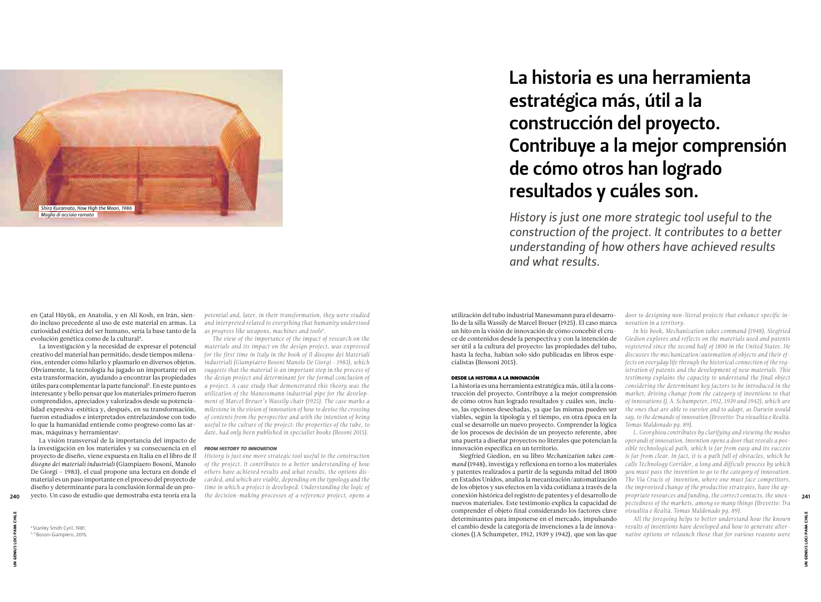La investigación y la necesidad de expresar el potencial creativo del material han permitido, desde tiempos milenarios, entender cómo hilarlo y plasmarlo en diversos objetos. Obviamente, la tecnología ha jugado un importante rol en esta transformación, ayudando a encontrar las propiedades útiles para complementar la parte funcional5 . En este punto es interesante y bello pensar que los materiales primero fueron comprendidos, apreciados y valorizados desde su potencialidad expresiva-estética y, después, en su transformación, fueron estudiados e interpretados entrelazándose con todo lo que la humanidad entiende como progreso como las armas, máquinas y herramientas<sup>6</sup>.

La visión transversal de la importancia del impacto de la investigación en los materiales y su consecuencia en el proyecto de diseño, viene expuesta en Italia en el libro de *Il disegno dei materiali industriali* (Giampiaero Bosoni, Manolo De Giorgi – 1983), el cual propone una lectura en donde el material es un paso importante en el proceso del proyecto de diseño y determinante para la conclusión formal de un pro-240 yecto. Un caso de estudio que demostraba esta teoría era la the decision-making processes of a reference project, opens a conexión histórica del registro de patentes y el desarrollo de propriate resources and funding,

4 Stanley Smith Cyril, 1981. 5, 6 Bosoni Giampiero, 2015.

utilización del tubo industrial Manessmann para el desarrollo de la silla Wassily de Marcel Breuer (1925). El caso marca un hito en la visión de innovación de cómo concebir el cruce de contenidos desde la perspectiva y con la intención de ser útil a la cultura del proyecto: las propiedades del tubo, hasta la fecha, habían solo sido publicadas en libros especialistas (Bossoni 2015).

# DESDE LA HISTORIA A LA INNOVACIÓN

La historia es una herramienta estratégica más, útil a la construcción del proyecto. Contribuye a la mejor comprensión de cómo otros han logrado resultados y cuáles son, incluso, las opciones desechadas, ya que las mismas pueden ser viables, según la tipología y el tiempo, en otra época en la cual se desarrolle un nuevo proyecto. Comprender la lógica de los procesos de decisión de un proyecto referente, abre una puerta a diseñar proyectos no literales que potencian la innovación específica en un territorio.

Siegfried Giedion, en su libro *Mechanization takes command* (1948), investiga y reflexiona en torno a los materiales y patentes realizados a partir de la segunda mitad del 1800 en Estados Unidos, analiza la mecanización/automatización de los objetos y sus efectos en la vida cotidiana a través de la conexión histórica del registro de patentes y el desarrollo de nuevos materiales. Este testimonio explica la capacidad de comprender el objeto final considerando los factores clave determinantes para imponerse en el mercado, impulsando el cambio desde la categoría de invenciones a la de innova-

# La historia es una herramienta estratégica más, útil a la construcción del proyecto. Contribuye a la mejor comprensión de cómo otros han logrado resultados y cuáles son.

*History is just one more strategic tool useful to the construction of the project. It contributes to a better understanding of how others have achieved results and what results.*

*potential and, later, in their transformation, they were studied and interpreted related to everything that humanity understood as progress like weapons, machines and tools6 .*

*The view of the importance of the impact of research on the materials and its impact on the design project, was expressed for the first time in Italy in the book of Il disegno dei Materiali industriali (Giampiaero Bosoni Manolo De Giorgi - 1983), which suggests that the material is an important step in the process of the design project and determinant for the formal conclusion of a project. A case study that demonstrated this theory was the utilization of the Manessmann industrial pipe for the development of Marcel Breuer's Wassily chair (1925). The case marks a milestone in the vision of innovation of how to devise the crossing of contents from the perspective and with the intention of being useful to the culture of the project: the properties of the tube, to date, had only been published in specialist books (Bosoni 2015).*

# *FROM HISTORY TO INNOVATION*

*History is just one more strategic tool useful to the construction of the project. It contributes to a better understanding of how others have achieved results and what results, the options discarded, and which are viable, depending on the typology and the time in which a project is developed. Understanding the logic of the decision-making processes of a reference project, opens a* 

> ciones (J.A Schumpeter, 1912, 1939 y 1942), que son las que *native options or relaunch those that for various reasons were All the foregoing helps to better understand how the known results of inventions have developed and how to generate alter-*

*door to designing non-literal projects that enhance specific innovation in a territory.*

*In his book, Mechanization takes command (1948), Siegfried Giedion explores and reflects on the materials used and patents registered since the second half of 1800 in the United States. He discusses the mechanization/automation of objects and their effects on everyday life through the historical connection of the registration of patents and the development of new materials. This testimony explains the capacity to understand the final object considering the determinant key factors to be introduced in the market, driving change from the category of inventions to that of innovations (J. A. Schumpeter, 1912, 1939 and 1942), which are the ones that are able to survive and to adapt, as Darwin would say, to the demands of innovation (Brevetto: Tra visualita e Realtà. Tomas Maldonado pg. 89).* 

*L. Georghiou contributes by clarifying and viewing the modus operandi of innovation. Invention opens a door that reveals a possible technological path, which is far from easy and its success is far from clear. In fact, it is a path full of obstacles, which he calls Technology Corridor, a long and difficult process by which you must pass the invention to go to the category of innovation. The Via Crucis of invention, where one must face competitors, the improvised change of the productive strategies, have the appropriate resources and funding, the correct contacts, the unexpectedness of the markets, among so many things (Brevetto: Tra visualita e Realtà. Tomas Maldonado pg. 89).*



# en Çatal Hüyük, en Anatolia, y en Ali Kosh, en Irán, siendo incluso precedente al uso de este material en armas. La curiosidad estética del ser humano, sería la base tanto de la evolución genética como de la cultural<sup>4</sup>.

UN GENIUS LOCI PARA CHILE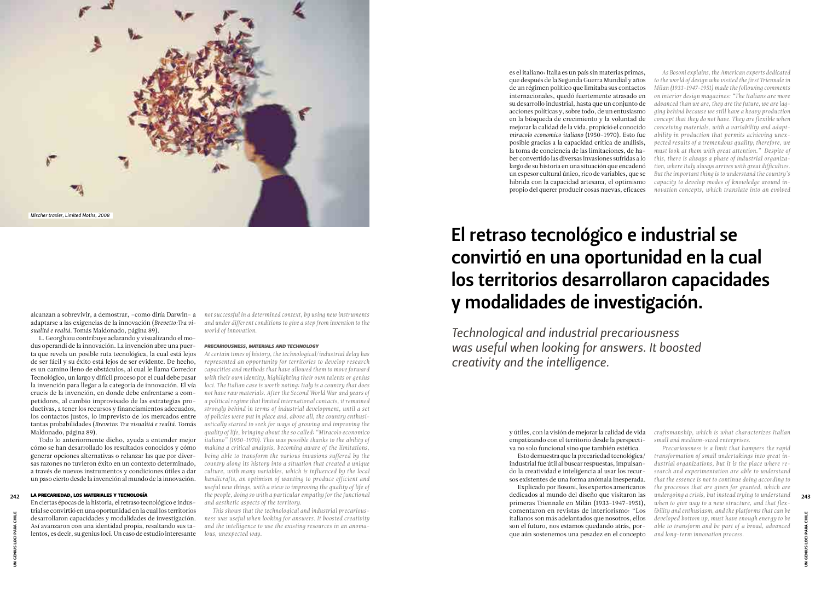alcanzan a sobrevivir, a demostrar, –como diría Darwin– a adaptarse a las exigencias de la innovación (*Brevetto:Tra visualitá e realtá.* Tomás Maldonado, página 89).

L. Georghiou contribuye aclarando y visualizando el modus operandi de la innovación. La invención abre una puerta que revela un posible ruta tecnológica, la cual está lejos de ser fácil y su éxito está lejos de ser evidente. De hecho, es un camino lleno de obstáculos, al cual le llama Corredor Tecnológico, un largo y difícil proceso por el cual debe pasar la invención para llegar a la categoría de innovación. El vía crucis de la invención, en donde debe enfrentarse a competidores, al cambio improvisado de las estrategias productivas, a tener los recursos y financiamientos adecuados, los contactos justos, lo imprevisto de los mercados entre tantas probabilidades (*Brevetto: Tra visualitá e realtá.* Tomás Maldonado, página 89).

Todo lo anteriormente dicho, ayuda a entender mejor cómo se han desarrollado los resultados conocidos y cómo generar opciones alternativas o relanzar las que por diversas razones no tuvieron éxito en un contexto determinado, a través de nuevos instrumentos y condiciones útiles a dar un paso cierto desde la invención al mundo de la innovación.

# LA PRECARIEDAD, LOS MATERIALES Y TECNOLOGÍA

En ciertas épocas de la historia, el retraso tecnológico e industrial se convirtió en una oportunidad en la cual los territorios desarrollaron capacidades y modalidades de investigación. Así avanzaron con una identidad propia, resaltando sus talentos, es decir, su genius loci. Un caso de estudio interesante es el italiano: Italia es un país sin materias primas, que después de la Segunda Guerra Mundial y años de un régimen político que limitaba sus contactos internacionales, quedó fuertemente atrasado en su desarrollo industrial, hasta que un conjunto de acciones políticas y, sobre todo, de un entusiasmo en la búsqueda de crecimiento y la voluntad de mejorar la calidad de la vida, propició el conocido *miracolo economico italiano* (1950-1970). Esto fue posible gracias a la capacidad crítica de análisis, la toma de conciencia de las limitaciones, de haber convertido las diversas invasiones sufridas a lo largo de su historia en una situación que encadenó un espesor cultural único, rico de variables, que se hibrida con la capacidad artesana, el optimismo propio del querer producir cosas nuevas, eficaces

y útiles, con la visión de mejorar la calidad de vida empatizando con el territorio desde la perspectiva no solo funcional sino que también estética.

Esto demuestra que la precariedad tecnológica/ industrial fue útil al buscar respuestas, impulsando la creatividad e inteligencia al usar los recursos existentes de una forma anómala inesperada.

# El retraso tecnológico e industrial se convirtió en una oportunidad en la cual los territorios desarrollaron capacidades y modalidades de investigación.

*Technological and industrial precariousness was useful when looking for answers. It boosted creativity and the intelligence.*

*not successful in a determined context, by using new instruments and under different conditions to give a step from invention to the world of innovation.* 

# *PRECARIOUSNESS, MATERIALS AND TECHNOLOGY*

*At certain times of history, the technological/industrial delay has represented an opportunity for territories to develop research capacities and methods that have allowed them to move forward with their own identity, highlighting their own talents or genius loci. The Italian case is worth noting: Italy is a country that does not have raw materials. After the Second World War and years of a political regime that limited international contacts, it remained strongly behind in terms of industrial development, until a set of policies were put in place and, above all, the country enthusiastically started to seek for ways of growing and improving the quality of life, bringing about the so called: "Miracolo economico italiano" (1950-1970). This was possible thanks to the ability of making a critical analysis, becoming aware of the limitations, being able to transform the various invasions suffered by the country along its history into a situation that created a unique culture, with many variables, which is influenced by the local handicrafts, an optimism of wanting to produce efficient and useful new things, with a view to improving the quality of life of*  **LA PRECARIEDAD, LOS MATERIALES Y TECNOLOGÍA** the people, doing so with a particular empathy for the functional dedicados al mundo del diseño que visitaron las undergoing a crisis, but instead trying to understand 243 *and aesthetic aspects of the territory.* 

Explicado por Bosoni, los expertos americanos dedicados al mundo del diseño que visitaron las primeras Triennale en Milán (1933-1947-1951), comentaron en revistas de interiorismo: "Los italianos son más adelantados que nosotros, ellos son el futuro, nos estamos quedando atrás, porque aún sostenemos una pesadez en el concepto *and long-term innovation process.* 

*This shows that the technological and industrial precariousness was useful when looking for answers. It boosted creativity and the intelligence to use the existing resources in an anomalous, unexpected way.* 

*As Bosoni explains, the American experts dedicated to the world of design who visited the first Triennale in Milan (1933-1947-1951) made the following comments on interior design magazines: "The Italians are more advanced than we are, they are the future, we are lagging behind because we still have a heavy production concept that they do not have. They are flexible when conceiving materials, with a variability and adaptability in production that permits achieving unexpected results of a tremendous quality; therefore, we must look at them with great attention." Despite of this, there is always a phase of industrial organization, where Italy always arrives with great difficulties. But the important thing is to understand the country's capacity to develop modes of knowledge around innovation concepts, which translate into an evolved* 

*craftsmanship, which is what characterizes Italian small and medium-sized enterprises.* 

*Precariousness is a limit that hampers the rapid transformation of small undertakings into great industrial organizations, but it is the place where research and experimentation are able to understand that the essence is not to continue doing according to the processes that are given for granted, which are undergoing a crisis, but instead trying to understand when to give way to a new structure, and that flexibility and enthusiasm, and the platforms that can be developed bottom up, must have enough energy to be able to transform and be part of a broad, advanced* 



UN GENIUS LOCI PARA CHILE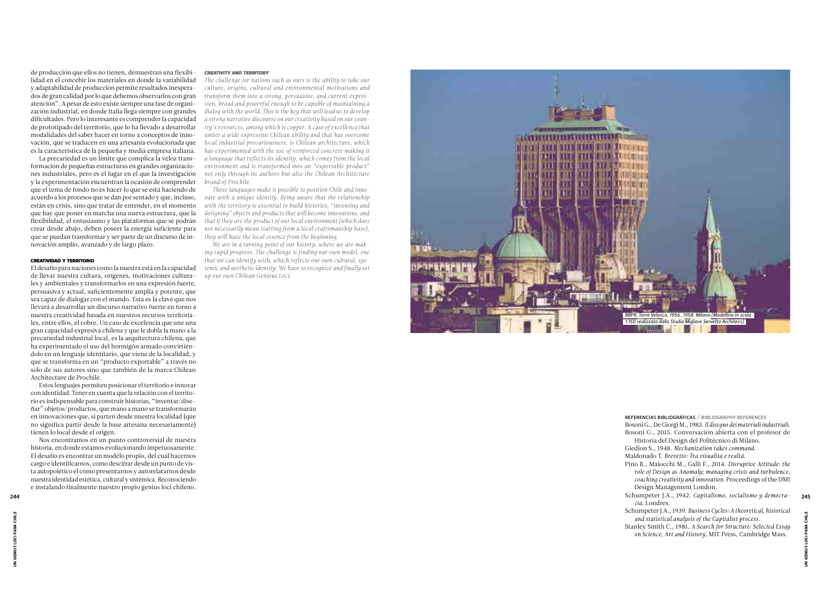de producción que ellos no tienen, demuestran una flexibi lidad en el concebir los materiales en donde la variabilidad y adaptabilidad de producción permite resultados inespera dos de gran calidad por lo que debemos observarlos con gran atención". A pesar de esto existe siempre una fase de organi zación industrial, en donde Italia llega siempre con grandes dificultades. Pero lo interesante es comprender la capacidad de prototipado del territorio, que lo ha llevado a desarrollar modalidades del saber hacer en torno a conceptos de inno vación, que se traducen en una artesanía evolucionada que es la característica de la pequeña y media empresa italiana.

La precariedad es un límite que complica la veloz trans formación de pequeñas estructuras en grandes organizacio nes industriales, pero es el lugar en el que la investigación y la experimentación encuentran la ocasión de comprender que el tema de fondo no es hacer lo que se está haciendo de acuerdo a los procesos que se dan por sentado y que, incluso, están en crisis, sino que tratar de entender, en el momento que hay que poner en marcha una nueva estructura, que la flexibilidad, el entusiasmo y las plataformas que se podrán crear desde abajo, deben poseer la energía suficiente para que se puedan transformar y ser parte de un discurso de in novación amplio, avanzado y de largo plazo.

## CREATIVIDAD Y TERRITORIO

El desafío para naciones como la nuestra está en la capacidad de llevar nuestra cultura, orígenes, motivaciones cultura les y ambientales y transformarlos en una expresión fuerte, persuasiva y actual, suficientemente amplia y potente, que sea capaz de dialogar con el mundo. Esta es la clave que nos llevará a desarrollar un discurso narrativo fuerte en torno a nuestra creatividad basada en nuestros recursos territoria les, entre ellos, el cobre. Un caso de excelencia que une una gran capacidad expresiva chilena y que le dobla la mano a la precariedad industrial local, es la arquitectura chilena, que ha experimentado el uso del hormigón armado convirtién dolo en un lenguaje identitario, que viene de la localidad, y que se transforma en un "producto exportable" a través no solo de sus autores sino que también de la marca Chilean Architecture de Prochile.

Estos lenguajes permiten posicionar el territorio e innovar con identidad. Tener en cuenta que la relación con el territo rio es indispensable para construir historias, "inventar/dise ñar" objetos/productos, que mano a mano se transformarán en innovaciones que, si parten desde nuestra localidad (que no significa partir desde la base artesana necesariamente) tienen lo local desde el origen.

Nos encontramos en un punto controversial de nuestra historia, en donde estamos evolucionando impetuosamente. El desafío es encontrar un modelo propio, del cual hacernos cargo e identificarnos, como descifrar desde un punto de vis ta autopoiético el cómo presentarnos y autorelatarnos desde nuestra identidad estética, cultural y sistémica. Reconociendo e instalando finalmente nuestro propio genius loci chileno.

# *CREATIVITY AND TERRITORY*

*The challenge for nations such as ours is the ability to take our culture, origins, cultural and environmental motivations and transform them into a strong, persuasive, and current expres sion, broad and powerful enough to be capable of maintaining a dialog with the world. This is the key that will lead us to develop a strong narrative discourse on our creativity based on our coun try's resources, among which is copper. A case of excellence that unites a wide expressive Chilean ability and that has overcome local industrial precariousness, is Chilean architecture, which has experimented with the use of reinforced concrete making it a language that reflects its identity, which comes from the local environment and is transformed into an "exportable product" not only through its authors but also the Chilean Architecture brand of Prochile.* 

*These languages make it possible to position Chile and inno vate with a unique identity. Being aware that the relationship with the territory is essential to build histories, "inventing and designing" objects and products that will become innovations, and that if they are the product of our local environment (which does not necessarily mean starting from a local craftsmanship base), they will have the local essence from the beginning.*

*We are in a turning point of our history, where we are mak ing rapid progress. The challenge is finding our own model, one that we can identify with, which reflects our own cultural, sys temic and aesthetic identity. We have to recognize and finally set up our own Chilean Genious Loci.*

REFERENCIAS BIBLIOGRÁFICAS */ BIBLIOGRAPHY REFERENCES*

Bosoni G., De Giorgi M., 1983. *Il disegno dei materiali industriali* . Bosoni G., 2015. Conversación abierta con el profesor de Historia del Design del Politécnico di Milano.

Giedion S., 1948. *Mechanization takes command.*

Maldonado T. *Brevetto: Tra visualitá e realtá.*

Pino B., Maiocchi M., Galli F., 2014. *Disruptive Attitude: the role of Design as Anomaly; managing crisis and turbulence, coaching creativity and innovation.* Proceedings of the DMI Design Management London.

Schumpeter J.A., 1942. *Capitalismo, socialismo y democra -* 244 245*cia.* Londres.

Schumpeter J.A., 1939. *Business Cycles: A theoretical, historical and statistical analysis of the Capitalist process.*

Stanley Smith C., 1981. *A Search for Structure: Selected Essay on Science, Art and History,* MIT Press, Cambridge Mass.

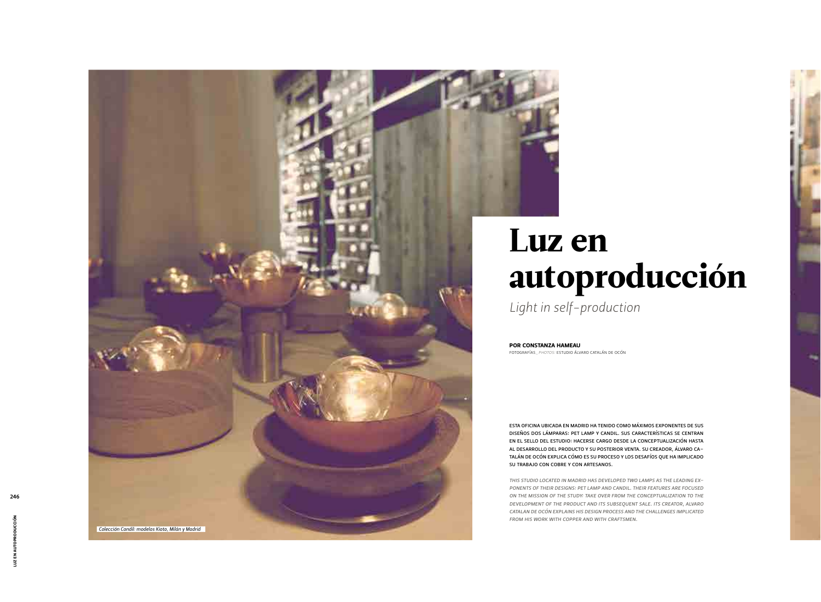# Luz en autoproducción

*Light in self-production*

FOTOGRAFÍAS*\_PHOTOS:* ESTUDIO ÁLVARO CATALÁN DE OCÓN POR CONSTANZA HAMEAU

ESTA OFICINA UBICADA EN MADRID HA TENIDO COMO MÁXIMOS EXPONENTES DE SUS DISEÑOS DOS LÁMPARAS: PET LAMP Y CANDIL. SUS CARACTERÍSTICAS SE CENTRAN EN EL SELLO DEL ESTUDIO: HACERSE CARGO DESDE LA CONCEPTUALIZACIÓN HASTA AL DESARROLLO DEL PRODUCTO Y SU POSTERIOR VENTA. SU CREADOR, ÁLVARO CA-TALÁN DE OCÓN EXPLICA CÓMO ES SU PROCESO Y LOS DESAFÍOS QUE HA IMPLICADO SU TRABAJO CON COBRE Y CON ARTESANOS.

*THIS STUDIO LOCATED IN MADRID HAS DEVELOPED TWO LAMPS AS THE LEADING EX-PONENTS OF THEIR DESIGNS: PET LAMP AND CANDIL. THEIR FEATURES ARE FOCUSED ON THE MISSION OF THE STUDY: TAKE OVER FROM THE CONCEPTUALIZATION TO THE DEVELOPMENT OF THE PRODUCT AND ITS SUBSEQUENT SALE. ITS CREATOR, ALVARO CATALAN DE OCÓN EXPLAINS HIS DESIGN PROCESS AND THE CHALLENGES IMPLICATED FROM HIS WORK WITH COPPER AND WITH CRAFTSMEN.*



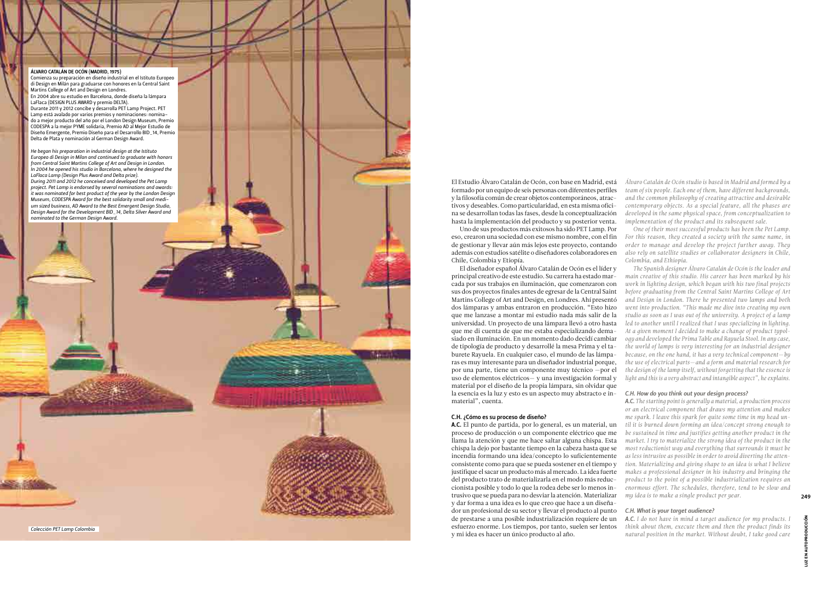El Estudio Álvaro Catalán de Ocón, con base en Madrid, está formado por un equipo de seis personas con diferentes perfiles y la filosofía común de crear objetos contemporáneos, atrac tivos y deseables. Como particularidad, en esta misma ofici na se desarrollan todas las fases, desde la conceptualización hasta la implementación del producto y su posterior venta.

Uno de sus productos más exitosos ha sido PET Lamp. Por eso, crearon una sociedad con ese mismo nombre, con el fin de gestionar y llevar aún más lejos este proyecto, contando además con estudios satélite o diseñadores colaboradores en Chile, Colombia y Etiopía.

El diseñador español Álvaro Catalán de Ocón es el líder y principal creativo de este estudio. Su carrera ha estado mar cada por sus trabajos en iluminación, que comenzaron con sus dos proyectos finales antes de egresar de la Central Saint Martins College of Art and Design, en Londres. Ahí presentó dos lámparas y ambas entraron en producción. "Esto hizo que me lanzase a montar mi estudio nada más salir de la universidad. Un proyecto de una lámpara llevó a otro hasta que me di cuenta de que me estaba especializando dema siado en iluminación. En un momento dado decidí cambiar de tipología de producto y desarrollé la mesa Prima y el ta burete Rayuela. En cualquier caso, el mundo de las lámpa ras es muy interesante para un diseñador industrial porque, por una parte, tiene un componente muy técnico —por el uso de elementos eléctricos — y una investigación formal y material por el diseño de la propia lámpara, sin olvidar que la esencia es la luz y esto es un aspecto muy abstracto e in material", cuenta.

# C.H. ¿Cómo es su proceso de diseño?

A.C. El punto de partida, por lo general, es un material, un proceso de producción o un componente eléctrico que me llama la atención y que me hace saltar alguna chispa. Esta chispa la dejo por bastante tiempo en la cabeza hasta que se incendia formando una idea/concepto lo suficientemente consistente como para que se pueda sostener en el tiempo y justifique el sacar un producto más al mercado. La idea fuerte del producto trato de materializarla en el modo más reduc cionista posible y todo lo que la rodea debe ser lo menos in trusivo que se pueda para no desviar la atención. Materializar y dar forma a una idea es lo que creo que hace a un diseña dor un profesional de su sector y llevar el producto al punto de prestarse a una posible industrialización requiere de un esfuerzo enorme. Los tiempos, por tanto, suelen ser lentos y mi idea es hacer un único producto al año.

*Álvaro Catalán de Ocón studio is based in Madrid and formed by a team of six people. Each one of them, have different backgrounds, and the common philosophy of creating attractive and desirable contemporary objects. As a special feature, all the phases are developed in the same physical space, from conceptualization to implementation of the product and its subsequent sale.*

*One of their most successful products has been the Pet Lamp. For this reason, they created a society with the same name, in order to manage and develop the project further away. They also rely on satellite studies or collaborator designers in Chile, Colombia, and Ethiopia.*

*The Spanish designer Álvaro Catalán de Ocón is the leader and main creative of this studio. His career has been marked by his work in lighting design, which began with his two final projects before graduating from the Central Saint Martins College of Art and Design in London. There he presented two lamps and both went into production. "This made me dive into creating my own studio as soon as I was out of the university. A project of a lamp*  led to another until I realized that I was specializing in lighting. *At a given moment I decided to make a change of product typol ogy and developed the Prima Table and Rayuela Stool. In any case, the world of lamps is very interesting for an industrial designer because, on the one hand, it has a very technical component* —*by the use of electrical parts* —*and a form and material research for the design of the lamp itself, without forgetting that the essence is light and this is a very abstract and intangible aspect", he explains.*

# *C.H. How do you think out your design process?*

*A.C. The starting point is generally a material, a production process or an electrical component that draws my attention and makes me spark. I leave this spark for quite some time in my head un til it is burned down forming an idea/concept strong enough to be sustained in time and justifies getting another product in the market. I try to materialize the strong idea of the product in the most reductionist way and everything that surrounds it must be as less intrusive as possible in order to avoid diverting the atten tion. Materializing and giving shape to an idea is what I believe makes a professional designer in his industry and bringing the product to the point of a possible industrialization requires an enormous effort. The schedules, therefore, tend to be slow and my idea is to make a single product per year.*

# *C.H. What is your target audience?*

*A.C. I do not have in mind a target audience for my products. I think about them, execute them and then the product finds its natural position in the market. Without doubt, I take good care* 



*Colección PET Lamp Colombia*

LUZ EN AUTOPRODUCCIÓN

ž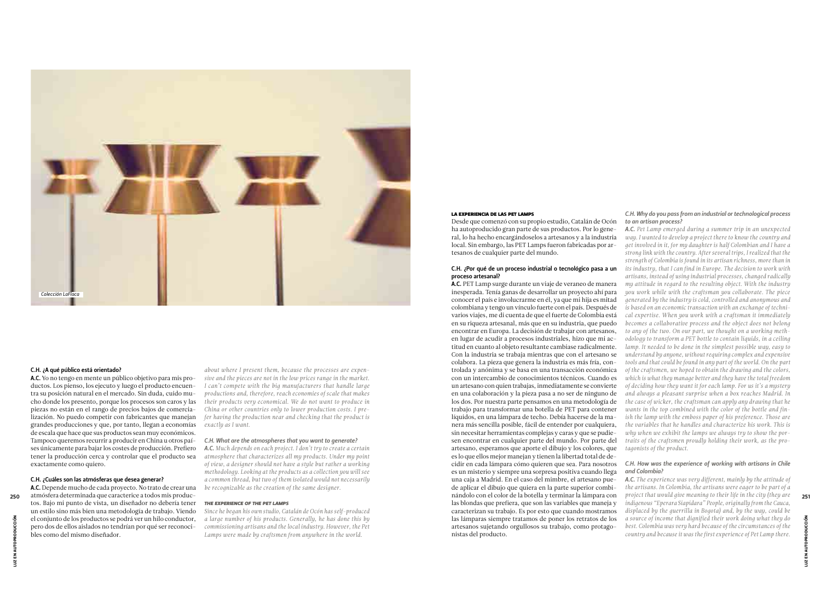Desde que comenzó con su propio estudio, Catalán de Ocón *to an artisan process?*  ha autoproducido gran parte de sus productos. Por lo general, lo ha hecho encargándoselos a artesanos y a la industria local. Sin embargo, las PET Lamps fueron fabricadas por artesanos de cualquier parte del mundo.

# C.H. ¿Por qué de un proceso industrial o tecnológico pasa a un proceso artesanal?

A.C. PET Lamp surge durante un viaje de veraneo de manera inesperada. Tenía ganas de desarrollar un proyecto ahí para conocer el país e involucrarme en él, ya que mi hija es mitad colombiana y tengo un vínculo fuerte con el país. Después de varios viajes, me di cuenta de que el fuerte de Colombia está en su riqueza artesanal, más que en su industria, que puedo encontrar en Europa. La decisión de trabajar con artesanos, en lugar de acudir a procesos industriales, hizo que mi actitud en cuanto al objeto resultante cambiase radicalmente. Con la industria se trabaja mientras que con el artesano se colabora. La pieza que genera la industria es más fría, controlada y anónima y se basa en una transacción económica con un intercambio de conocimientos técnicos. Cuando es un artesano con quien trabajas, inmediatamente se convierte en una colaboración y la pieza pasa a no ser de ninguno de los dos. Por nuestra parte pensamos en una metodología de trabajo para transformar una botella de PET para contener líquidos, en una lámpara de techo. Debía hacerse de la manera más sencilla posible, fácil de entender por cualquiera, sin necesitar herramientas complejas y caras y que se pudiesen encontrar en cualquier parte del mundo. Por parte del artesano, esperamos que aporte el dibujo y los colores, que es lo que ellos mejor manejan y tienen la libertad total de decidir en cada lámpara cómo quieren que sea. Para nosotros es un misterio y siempre una sorpresa positiva cuando llega una caja a Madrid. En el caso del mimbre, el artesano puede aplicar el dibujo que quiera en la parte superior combilas blondas que prefiera, que son las variables que maneja y caracterizan su trabajo. Es por esto que cuando mostramos las lámparas siempre tratamos de poner los retratos de los artesanos sujetando orgullosos su trabajo, como protagonistas del producto.

# *C.H. Why do you pass from an industrial or technological process*

anándolo con el color de la botella y terminar la lámpara con *project that would give meaning to their life in the city (they are*  $\frac{251}{251}$ A.C. Depende mucho de cada proyecto. No trato de crear una atmósfera determinada que caracterice a todos mis productos. Bajo mi punto de vista, un diseñador no debería tener un estilo sino más bien una metodología de trabajo. Viendo el conjunto de los productos se podrá ver un hilo conductor, pero dos de ellos aislados no tendrían por qué ser reconocibles como del mismo diseñador.

*A.C. Pet Lamp emerged during a summer trip in an unexpected way. I wanted to develop a project there to know the country and get involved in it, for my daughter is half Colombian and I have a strong link with the country. After several trips, I realized that the strength of Colombia is found in its artisan richness, more than in its industry, that I can find in Europe. The decision to work with artisans, instead of using industrial processes, changed radically my attitude in regard to the resulting object. With the industry you work while with the craftsman you collaborate. The piece generated by the industry is cold, controlled and anonymous and is based on an economic transaction with an exchange of technical expertise. When you work with a craftsman it immediately becomes a collaborative process and the object does not belong to any of the two. On our part, we thought on a working methodology to transform a PET bottle to contain liquids, in a ceiling*  lamp. It needed to be done in the simplest possible way, easy to *understand by anyone, without requiring complex and expensive tools and that could be found in any part of the world. On the part of the craftsmen, we hoped to obtain the drawing and the colors, which is what they manage better and they have the total freedom of deciding how they want it for each lamp. For us it's a mystery and always a pleasant surprise when a box reaches Madrid. In the case of wicker, the craftsman can apply any drawing that he wants in the top combined with the color of the bottle and finish the lamp with the emboss paper of his preference. Those are the variables that he handles and characterize his work. This is why when we exhibit the lamps we always try to show the portraits of the craftsmen proudly holding their work, as the protagonists of the product.*

# *C.H. How was the experience of working with artisans in Chile and Colombia?*

*A.C. The experience was very different, mainly by the attitude of the artisans. In Colombia, the artisans were eager to be part of a project that would give meaning to their life in the city (they are indigenous "Eperara Siapidara" People, originally from the Cauca, displaced by the guerrilla in Bogota) and, by the way, could be a source of income that dignified their work doing what they do best. Colombia was very hard because of the circumstances of the country and because it was the first experience of Pet Lamp there.* 

# C.H. ¿A qué público está orientado?

A.C. Yo no tengo en mente un público objetivo para mis productos. Los pienso, los ejecuto y luego el producto encuentra su posición natural en el mercado. Sin duda, cuido mucho donde los presento, porque los procesos son caros y las piezas no están en el rango de precios bajos de comercialización. No puedo competir con fabricantes que manejan grandes producciones y que, por tanto, llegan a economías de escala que hace que sus productos sean muy económicos. Tampoco queremos recurrir a producir en China u otros países únicamente para bajar los costes de producción. Prefiero tener la producción cerca y controlar que el producto sea exactamente como quiero.

# C.H. ¿Cuáles son las atmósferas que desea generar?

*about where I present them, because the processes are expensive and the pieces are not in the low prices range in the market. I can't compete with the big manufacturers that handle large productions and, therefore, reach economies of scale that makes their products very economical. We do not want to produce in China or other countries only to lower production costs. I prefer having the production near and checking that the product is exactly as I want.*

# *C.H. What are the atmospheres that you want to generate?*

*A.C. Much depends on each project. I don't try to create a certain atmosphere that characterizes all my products. Under my point of view, a designer should not have a style but rather a working methodology. Looking at the products as a collection you will see a common thread, but two of them isolated would not necessarily be recognizable as the creation of the same designer.*

# *THE EXPERIENCE OF THE PET LAMPS*

*Since he began his own studio, Catalán de Ocón has self-produced a large number of his products. Generally, he has done this by commissioning artisans and the local industry. However, the Pet Lamps were made by craftsmen from anywhere in the world.*

# LA EXPERIENCIA DE LAS PET LAMPS



LUZ EN AUTOPRODUCCIÓN

.UZ EN AU'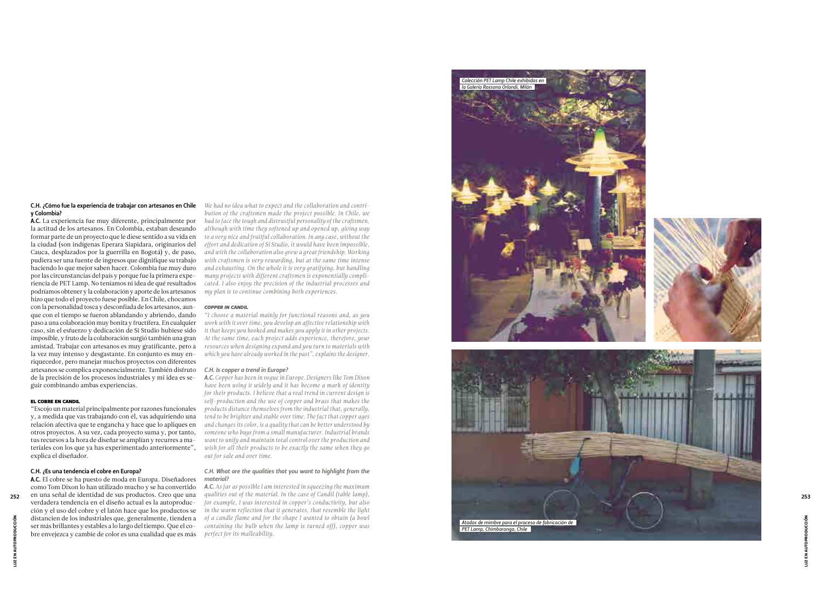# C.H. ¿Cómo fue la experiencia de trabajar con artesanos en Chile y Colombia?

A.C. La experiencia fue muy diferente, principalmente por la actitud de los artesanos. En Colombia, estaban deseando formar parte de un proyecto que le diese sentido a su vida en la ciudad (son indígenas Eperara Siapidara, originarios del Cauca, desplazados por la guerrilla en Bogotá) y, de paso, pudiera ser una fuente de ingresos que dignifique su trabajo haciendo lo que mejor saben hacer. Colombia fue muy duro por las circunstancias del país y porque fue la primera expe riencia de PET Lamp. No teníamos ni idea de qué resultados podríamos obtener y la colaboración y aporte de los artesanos hizo que todo el proyecto fuese posible. En Chile, chocamos con la personalidad tosca y desconfiada de los artesanos, aun que con el tiempo se fueron ablandando y abriendo, dando paso a una colaboración muy bonita y fructífera. En cualquier caso, sin el esfuerzo y dedicación de Si Studio hubiese sido imposible, y fruto de la colaboración surgió también una gran amistad. Trabajar con artesanos es muy gratificante, pero a la vez muy intenso y desgastante. En conjunto es muy en riquecedor, pero manejar muchos proyectos con diferentes artesanos se complica exponencialmente. También disfruto de la precisión de los procesos industriales y mi idea es se guir combinando ambas experiencias.

# EL COBRE EN CANDIL

"Escojo un material principalmente por razones funcionales y, a medida que vas trabajando con él, vas adquiriendo una relación afectiva que te engancha y hace que lo apliques en otros proyectos. A su vez, cada proyecto suma y, por tanto, tus recursos a la hora de diseñar se amplían y recurres a ma teriales con los que ya has experimentado anteriormente", explica el diseñador.

# C.H. ¿Es una tendencia el cobre en Europa?

A.C. El cobre se ha puesto de moda en Europa. Diseñadores como Tom Dixon lo han utilizado mucho y se ha convertido verdadera tendencia en el diseño actual es la autoproduc ción y el uso del cobre y el latón hace que los productos se distancien de los industriales que, generalmente, tienden a ser más brillantes y estables a lo largo del tiempo. Que el co bre envejezca y cambie de color es una cualidad que es más

LUZ EN AUTOPRODUCCIÓN LUZ EN AUTOPRODUCCIÓN

*We had no idea what to expect and the collaboration and contri bution of the craftsmen made the project possible. In Chile, we had to face the tough and distrustful personality of the craftsmen, although with time they softened up and opened up, giving way to a very nice and fruitful collaboration. In any case, without the effort and dedication of Si Studio, it would have been impossible, and with the collaboration also grew a great friendship. Working with craftsmen is very rewarding, but at the same time intense and exhausting. On the whole it is very gratifying, but handling many projects with different craftsmen is exponentially compli cated. I also enjoy the precision of the industrial processes and my plan is to continue combining both experiences.*

# *COPPER IN CANDIL*

*"I choose a material mainly for functional reasons and, as you work with it over time, you develop an affective relationship with it that keeps you hooked and makes you apply it in other projects. At the same time, each project adds experience, therefore, your resources when designing expand and you turn to materials with which you have already worked in the past", explains the designer.*



# *C.H. Is copper a trend in Europe?*

*A.C. Copper has been in vogue in Europe. Designers like Tom Dixon have been using it widely and it has become a mark of identity for their products. I believe that a real trend in current design is self-production and the use of copper and brass that makes the products distance themselves from the industrial that, generally, tend to be brighter and stable over time. The fact that copper ages and changes its color, is a quality that can be better understood by someone who buys from a small manufacturer. Industrial brands want to unify and maintain total control over the production and wish for all their products to be exactly the same when they go out for sale and over time.*

# *C.H. What are the qualities that you want to highlight from the material?*

*A.C. As far as possible I am interested in squeezing the maximum qualities out of the material. In the case of Candil (table lamp), for example, I was interested in copper's conductivity, but also in the warm reflection that it generates, that resemble the light of a candle flame and for the shape I wanted to obtain (a bowl containing the bulb when the lamp is turned off), copper was perfect for its malleability.*

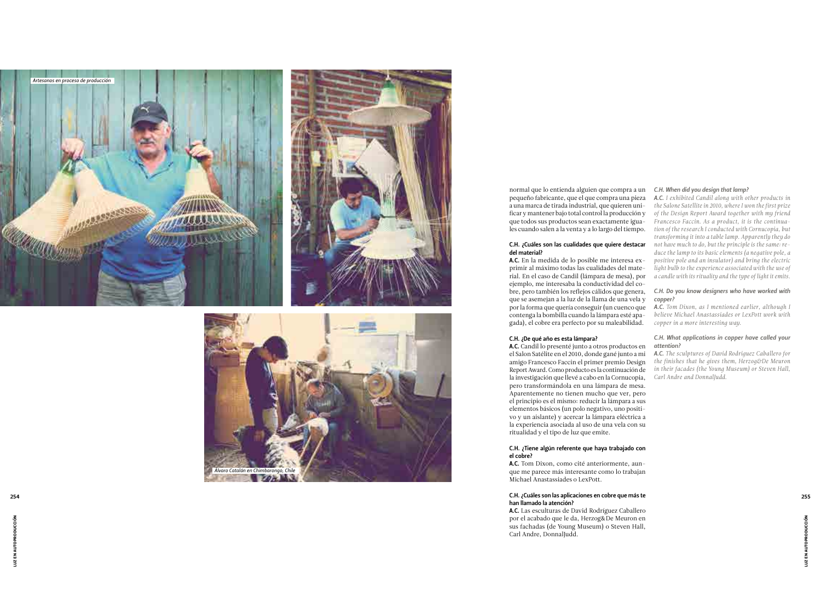normal que lo entienda alguien que compra a un *C.H. When did you design that lamp?* pequeño fabricante, que el que compra una pieza a una marca de tirada industrial, que quieren uni ficar y mantener bajo total control la producción y que todos sus productos sean exactamente igua les cuando salen a la venta y a lo largo del tiempo.

# C.H. ¿Cuáles son las cualidades que quiere destacar del material?

A.C. En la medida de lo posible me interesa ex primir al máximo todas las cualidades del mate rial. En el caso de Candil (lámpara de mesa), por ejemplo, me interesaba la conductividad del co bre, pero también los reflejos cálidos que genera, que se asemejan a la luz de la llama de una vela y por la forma que quería conseguir (un cuenco que contenga la bombilla cuando la lámpara esté apa gada), el cobre era perfecto por su maleabilidad.

# C.H. ¿De qué año es esta lámpara?

A.C. Las esculturas de David Rodríguez Caballero por el acabado que le da, Herzog&De Meuron en sus fachadas (de Young Museum) o Steven Hall, Carl Andre, DonnalJudd.

A.C. Candil lo presenté junto a otros productos en el Salon Satélite en el 2010, donde gané junto a mi amigo Francesco Faccin el primer premio Design Report Award. Como producto es la continuación de la investigación que llevé a cabo en la Cornucopia, pero transformándola en una lámpara de mesa. Aparentemente no tienen mucho que ver, pero el principio es el mismo: reducir la lámpara a sus elementos básicos (un polo negativo, uno positi vo y un aislante) y acercar la lámpara eléctrica a la experiencia asociada al uso de una vela con su ritualidad y el tipo de luz que emite.

# C.H. ¿Tiene algún referente que haya trabajado con el cobre?

A.C. Tom Dixon, como cité anteriormente, aun que me parece más interesante como lo trabajan Michael Anastassiades o LexPott.

# C.H. ¿Cuáles son las aplicaciones en cobre que más te 254 255han llamado la atención?

*A.C. I exhibited Candil along with other products in the Salone Satellite in 2010, where I won the first prize of the Design Report Award together with my friend Francesco Faccin. As a product, it is the continua tion of the research I conducted with Cornucopia, but transforming it into a table lamp. Apparently they do not have much to do, but the principle is the same: re duce the lamp to its basic elements (a negative pole, a positive pole and an insulator) and bring the electric light bulb to the experience associated with the use of a candle with its rituality and the type of light it emits.*

# *C.H. Do you know designers who have worked with copper?*

*A.C. Tom Dixon, as I mentioned earlier, although I believe Michael Anastassiades or LexPott work with copper in a more interesting way.*

# *C.H. What applications in copper have called your attention?*

*A.C. The sculptures of David Rodriguez Caballero for the finishes that he gives them, Herzog&De Meuron in their facades (the Young Museum) or Steven Hall, Carl Andre and DonnalJudd.*



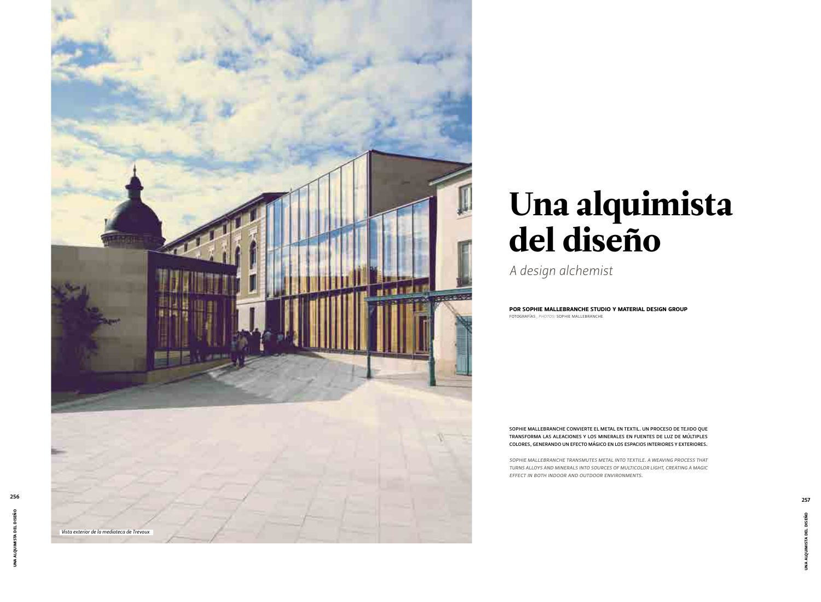# Una alquimista del diseño

*A design alchemist*

SOPHIE MALLEBRANCHE CONVIERTE EL METAL EN TEXTIL. UN PROCESO DE TEJIDO QUE TRANSFORMA LAS ALEACIONES Y LOS MINERALES EN FUENTES DE LUZ DE MÚLTIPLES COLORES, GENERANDO UN EFECTO MÁGICO EN LOS ESPACIOS INTERIORES Y EXTERIORES .

FOTOGRAFÍAS *\_PHOTOS :* SOPHIE MALLEBRANCHE POR SOPHIE MALLEBRANCHE STUDIO Y MATERIAL DESIGN GROUP

*SOPHIE MALLEBRANCHE TRANSMUTES METAL INTO TEXTILE. A WEAVING PROCESS THAT TURNS ALLOYS AND MINERALS INTO SOURCES OF MULTICOLOR LIGHT, CREATING A MAGIC EFFECT IN BOTH INDOOR AND OUTDOOR ENVIRONMENTS .*



UNA ALQUIMISTA DEL DISEÑO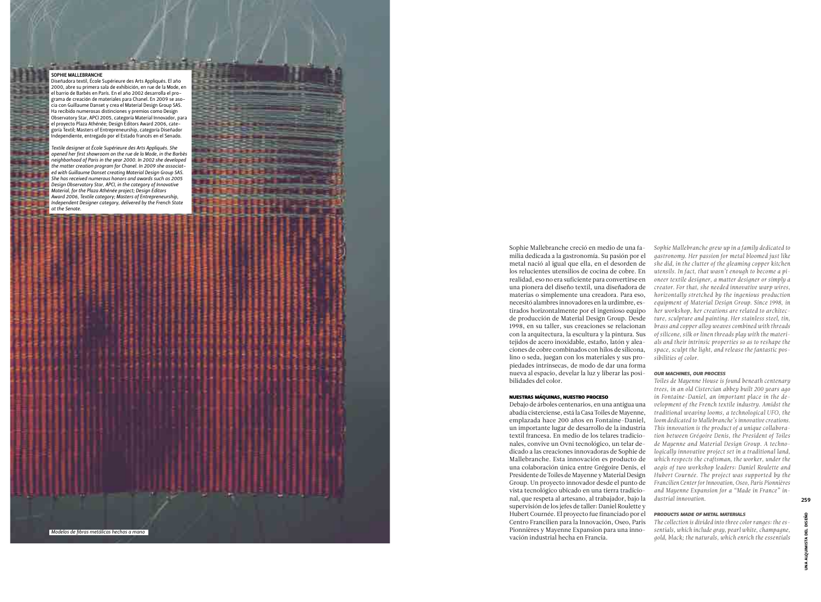## SOPHIE MALLEBRANCHE

Diseñadora textil, École Supérieure des Arts Appliqués. El año 2000, abre su primera sala de exhibición, en rue de la Mode, en el barrio de Barbès en París. En el año 2002 desarrolla el pro grama de creación de materiales para Chanel. En 2009 se aso grama de ereación de materiales para enantor en 2007 es est.<br>cia con Guillaume Danset y crea el Material Design Group SAS. Ha recibido numerosas distinciones y premios como Design Observatory Star, APCI 2005, categoría Material Innovador, para el proyecto Plaza Athénée; Design Editors Award 2006, cate goría Textil; Masters of Entrepreneurship, categoría Diseñador Independiente, entregado por el Estado francés en el Senado.

*Textile designer at École Supérieure des Arts Appliqués. She opened her first showroom on the rue de la Mode, in the Barbès neighborhood of Paris in the year 2000. In 2002 she developed the matter creation program for Chanel. In 2009 she associat ed with Guillaume Danset creating Material Design Group SAS. She has received numerous honors and awards such as 2005 Design Observatory Star, APCI, in the category of Innovative Material, for the Plaza Athénée project; Design Editors Award 2006, Textile category; Masters of Entrepreneurship, Independent Designer category, delivered by the French State at the Senate.* 

> Sophie Mallebranche creció en medio de una fa milia dedicada a la gastronomía. Su pasión por el metal nació al igual que ella, en el desorden de los relucientes utensilios de cocina de cobre. En realidad, eso no era suficiente para convertirse en una pionera del diseño textil, una diseñadora de materias o simplemente una creadora. Para eso, necesitó alambres innovadores en la urdimbre, es tirados horizontalmente por el ingenioso equipo de producción de Material Design Group. Desde 1998, en su taller, sus creaciones se relacionan con la arquitectura, la escultura y la pintura. Sus tejidos de acero inoxidable, estaño, latón y alea ciones de cobre combinados con hilos de silicona, lino o seda, juegan con los materiales y sus pro piedades intrínsecas, de modo de dar una forma nueva al espacio, develar la luz y liberar las posi bilidades del color.

# NUESTRAS MÁQUINAS, NUESTRO PROCESO

Debajo de árboles centenarios, en una antigua una abadía cisterciense, está la Casa Toiles de Mayenne, emplazada hace 200 años en Fontaine-Daniel, un importante lugar de desarrollo de la industria textil francesa. En medio de los telares tradicio nales, convive un Ovni tecnológico, un telar de dicado a las creaciones innovadoras de Sophie de Mallebranche. Esta innovación es producto de una colaboración única entre Grégoire Denis, el Presidente de Toiles de Mayenne y Material Design Group. Un proyecto innovador desde el punto de vista tecnológico ubicado en una tierra tradicio nal, que respeta al artesano, al trabajador, bajo la supervisión de los jefes de taller: Daniel Roulette y Hubert Cournée. El proyecto fue financiado por el Centro Francilien para la Innovación, Oseo, Paris Pionnières y Mayenne Expansion para una inno vación industrial hecha en Francia.

*Sophie Mallebranche grew up in a family dedicated to gastronomy. Her passion for metal bloomed just like she did, in the clutter of the gleaming copper kitchen utensils. In fact, that wasn't enough to become a pi oneer textile designer, a matter designer or simply a creator. For that, she needed innovative warp wires, horizontally stretched by the ingenious production equipment of Material Design Group. Since 1998, in her workshop, her creations are related to architec ture, sculpture and painting. Her stainless steel, tin, brass and copper alloy weaves combined with threads of silicone, silk or linen threads play with the materi als and their intrinsic properties so as to reshape the space, sculpt the light, and release the fantastic pos sibilities of color.*

# *OUR MACHINES, OUR PROCESS*

*Toiles de Mayenne House is found beneath centenary trees, in an old Cistercian abbey built 200 years ago in Fontaine-Daniel, an important place in the de velopment of the French textile industry. Amidst the traditional weaving looms, a technological UFO, the loom dedicated to Mallebranche's innovative creations. This innovation is the product of a unique collabora tion between Grégoire Denis, the President of Toiles de Mayenne and Material Design Group. A techno logically innovative project set in a traditional land, which respects the craftsman, the worker, under the aegis of two workshop leaders: Daniel Roulette and Hubert Cournée. The project was supported by the Francilien Center for Innovation, Oseo, Paris Pionnières and Mayenne Expansion for a "Made in France" in dustrial innovation.* 

# *PRODUCTS MADE OF METAL MATERIALS*

*The collection is divided into three color ranges: the es sentials, which include gray, pearl white, champagne,* 

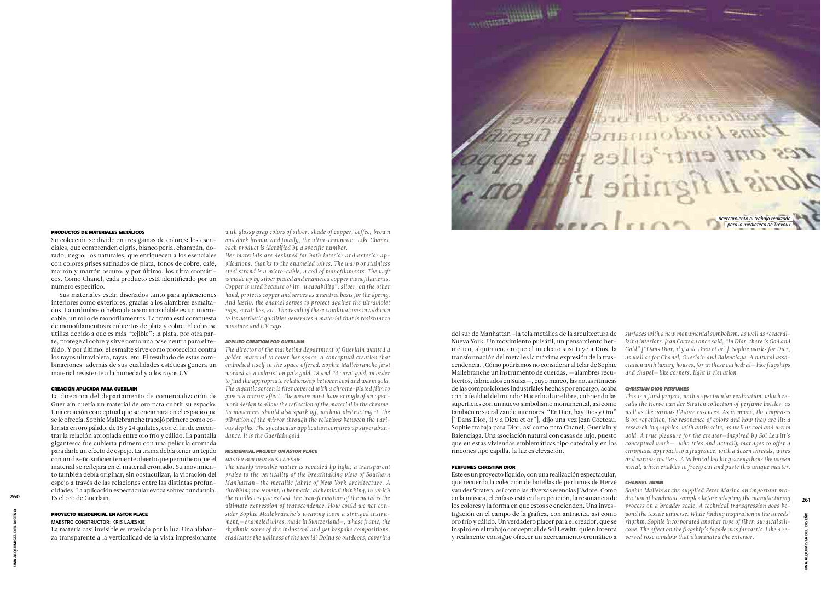# PRODUCTOS DE MATERIALES METÁLICOS

Su colección se divide en tres gamas de colores: los esenciales, que comprenden el gris, blanco perla, champán, dorado, negro; los naturales, que enriquecen a los esenciales con colores grises satinados de plata, tonos de cobre, café, marrón y marrón oscuro; y por último, los ultra cromáticos. Como Chanel, cada producto está identificado por un número específico.

Sus materiales están diseñados tanto para aplicaciones interiores como exteriores, gracias a los alambres esmaltados. La urdimbre o hebra de acero inoxidable es un microcable, un rollo de monofilamentos. La trama está compuesta de monofilamentos recubiertos de plata y cobre. El cobre se *moisture and UV rays.* utiliza debido a que es más "tejible"; la plata, por otra parte, protege al cobre y sirve como una base neutra para el teñido. Y por último, el esmalte sirve como protección contra los rayos ultravioleta, rayas. etc. El resultado de estas combinaciones además de sus cualidades estéticas genera un material resistente a la humedad y a los rayos UV.

# CREACIÓN APLICADA PARA GUERLAIN

La directora del departamento de comercialización de Guerlain quería un material de oro para cubrir su espacio. Una creación conceptual que se encarnara en el espacio que se le ofrecía. Sophie Mallebranche trabajó primero como colorista en oro pálido, de 18 y 24 quilates, con el fin de encontrar la relación apropiada entre oro frío y cálido. La pantalla gigantesca fue cubierta primero con una película cromada para darle un efecto de espejo. La trama debía tener un tejido con un diseño suficientemente abierto que permitiera que el material se reflejara en el material cromado. Su movimiento también debía originar, sin obstaculizar, la vibración del espejo a través de las relaciones entre las distintas profundidades. La aplicación espectacular evoca sobreabundancia. Es el oro de Guerlain.

# PROYECTO RESIDENCIAL EN ASTOR PLACE

# MAESTRO CONSTRUCTOR: KRIS LAJESKIE

La materia casi invisible es revelada por la luz. Una alabanza transparente a la verticalidad de la vista impresionante Nueva York. Un movimiento pulsátil, un pensamiento hermético, alquímico, en que el intelecto sustituye a Dios, la transformación del metal es la máxima expresión de la trascendencia. ¿Cómo podríamos no considerar al telar de Sophie Mallebranche un instrumento de cuerdas, —alambres recubiertos, fabricados en Suiza—, cuyo marco, las notas rítmicas de las composiciones industriales hechas por encargo, acaba con la fealdad del mundo? Hacerlo al aire libre, cubriendo las superficies con un nuevo simbolismo monumental, así como también re sacralizando interiores. "En Dior, hay Dios y Oro" ["Dans Dior, il y a Dieu et or"], dijo una vez Jean Cocteau. Sophie trabaja para Dior, así como para Chanel, Guerlain y Balenciaga. Una asociación natural con casas de lujo, puesto que en estas viviendas emblemáticas tipo catedral y en los rincones tipo capilla, la luz es elevación.

# PERFUMES CHRISTIAN DIOR

*with glossy gray colors of silver, shade of copper, coffee, brown and dark brown; and finally, the ultra-chromatic. Like Chanel, each product is identified by a specific number.* 

*Her materials are designed for both interior and exterior applications, thanks to the enameled wires. The warp or stainless steel strand is a micro-cable, a coil of monofilaments. The weft is made up by silver plated and enameled copper monofilaments. Copper is used because of its "weavability"; silver, on the other hand, protects copper and serves as a neutral basis for the dyeing. And lastly, the enamel serves to protect against the ultraviolet rays, scratches, etc. The result of these combinations in addition to its aesthetic qualities generates a material that is resistant to* 

del sur de Manhattan –la tela metálica de la arquitectura de *surfaces with a new monumental symbolism, as well as resacralizing interiors. Jean Cocteau once said, "In Dior, there is God and Gold" ["Dans Dior, il y a de Dieu et or"]. Sophie works for Dior, as well as for Chanel, Guerlain and Balenciaga. A natural association with luxury houses, for in these cathedral*—*like flagships and chapel*—*like corners, light is elevation.* 

# *APPLIED CREATION FOR GUERLAIN*

*The director of the marketing department of Guerlain wanted a golden material to cover her space. A conceptual creation that embodied itself in the space offered. Sophie Mallebranche first worked as a colorist on pale gold, 18 and 24 carat gold, in order to find the appropriate relationship between cool and warm gold. The gigantic screen is first covered with a chrome-plated film to give it a mirror effect. The weave must have enough of an openwork design to allow the reflection of the material in the chrome. Its movement should also spark off, without obstructing it, the vibration of the mirror through the relations between the various depths. The spectacular application conjures up superabundance. It is the Guerlain gold.*

# *RESIDENTIAL PROJECT ON ASTOR PLACE*

Este es un proyecto líquido, con una realización espectacular, que recuerda la colección de botellas de perfumes de Hervé van der Straten, así como las diversas esencias J'Adore. Como en la música, el énfasis está en la repetición, la resonancia de los colores y la forma en que estos se encienden. Una investigación en el campo de la gráfica, con antracita, así como oro frío y cálido. Un verdadero placer para el creador, que se inspiró en el trabajo conceptual de Sol Lewitt, quien intenta y realmente consigue ofrecer un acercamiento cromático a *versed rose window that illuminated the exterior.*

*MASTER BUILDER: KRIS LAJESKIE*

# *CHRISTIAN DIOR PERFUMES*

*The nearly invisible matter is revealed by light; a transparent praise to the verticality of the breathtaking view of Southern Manhattan—the metallic fabric of New York architecture. A throbbing movement, a hermetic, alchemical thinking, in which the intellect replaces God, the transformation of the metal is the ultimate expression of transcendence. How could we not consider Sophie Mallebranche's weaving loom a stringed instrument,—enameled wires, made in Switzerland—, whose frame, the rhythmic score of the industrial and yet bespoke compositions, eradicates the ugliness of the world? Doing so outdoors, covering duction of handmade samples before adapting the manufacturing*  <sup>260</sup> <sup>261</sup>

*This is a fluid project, with a spectacular realization, which recalls the Herve van der Straten collection of perfume bottles, as well as the various J'Adore essences. As in music, the emphasis is on repetition, the resonance of colors and how they are lit; a research in graphics, with anthracite, as well as cool and warm gold. A true pleasure for the creator—inspired by Sol Lewitt's conceptual work—, who tries and actually manages to offer a chromatic approach to a fragrance, with a dozen threads, wires and various matters. A technical backing strengthens the woven metal, which enables to freely cut and paste this unique matter.*

# *CHANNEL JAPAN*

*Sophie Mallebranche supplied Peter Marino an important proprocess on a broader scale. A technical transgression goes beyond the textile universe. While finding inspiration in the tweeds' rhythm, Sophie incorporated another type of fiber: surgical silicone. The effect on the flagship's façade was fantastic. Like a re-*



UNA ALQUIMISTA DEL DISEÑO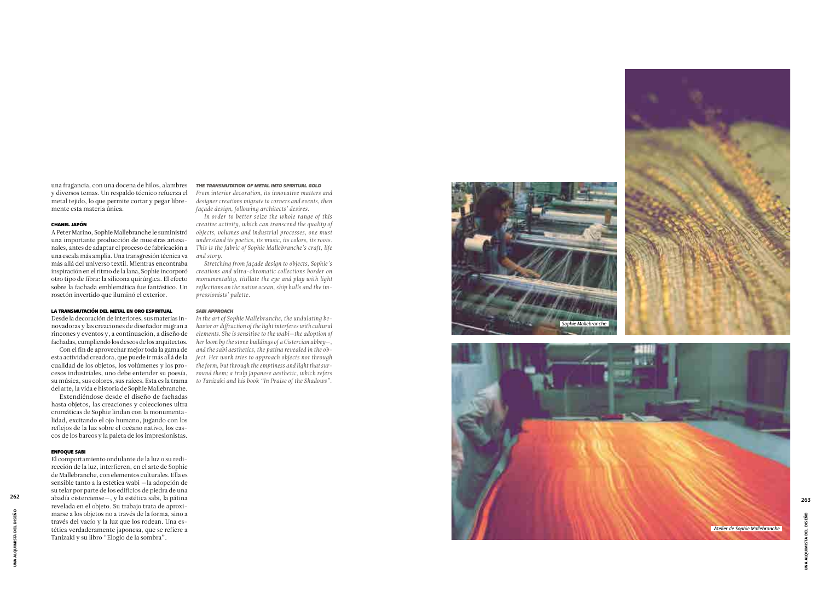una fragancia, con una docena de hilos, alambres y diversos temas. Un respaldo técnico refuerza el metal tejido, lo que permite cortar y pegar libre mente esta materia única.

## CHANEL JAPÓN

A Peter Marino, Sophie Mallebranche le suministró una importante producción de muestras artesa nales, antes de adaptar el proceso de fabricación a una escala más amplia. Una transgresión técnica va más allá del universo textil. Mientras encontraba inspiración en el ritmo de la lana, Sophie incorporó otro tipo de fibra: la silicona quirúrgica. El efecto sobre la fachada emblemática fue fantástico. Un rosetón invertido que iluminó el exterior.

# LA TRANSMUTACIÓN DEL METAL EN ORO ESPIRITUAL

Desde la decoración de interiores, sus materias in novadoras y las creaciones de diseñador migran a rincones y eventos y, a continuación, a diseño de fachadas, cumpliendo los deseos de los arquitectos.

Con el fin de aprovechar mejor toda la gama de esta actividad creadora, que puede ir más allá de la cualidad de los objetos, los volúmenes y los pro cesos industriales, uno debe entender su poesía, su música, sus colores, sus raíces. Esta es la trama del arte, la vida e historia de Sophie Mallebranche.

Extendiéndose desde el diseño de fachadas hasta objetos, las creaciones y colecciones ultra cromáticas de Sophie lindan con la monumenta lidad, excitando el ojo humano, jugando con los reflejos de la luz sobre el océano nativo, los cas cos de los barcos y la paleta de los impresionistas.

# ENFOQUE SABI



JNA ALQUIMISTA DEL DISEÑO UNA ALQUIMISTA DEL DISEÑO

El comportamiento ondulante de la luz o su redi rección de la luz, interfieren, en el arte de Sophie de Mallebranche, con elementos culturales. Ella es sensible tanto a la estética wabi —la adopción de su telar por parte de los edificios de piedra de una revelada en el objeto. Su trabajo trata de aproxi marse a los objetos no a través de la forma, sino a través del vacío y la luz que los rodean. Una es tética verdaderamente japonesa, que se refiere a Tanizaki y su libro "Elogio de la sombra".

# *THE TRANSMUTATION OF METAL INTO SPIRITUAL GOLD*

*From interior decoration, its innovative matters and designer creations migrate to corners and events, then façade design, following architects' desires.* 

*In order to better seize the whole range of this creative activity, which can transcend the quality of objects, volumes and industrial processes, one must understand its poetics, its music, its colors, its roots. This is the fabric of Sophie Mallebranche's craft, life and story.*



*Stretching from façade design to objects, Sophie's creations and ultra-chromatic collections border on monumentality, titillate the eye and play with light reflections on the native ocean, ship hulls and the im pressionists' palette.*

# *SABI APPROACH*

*In the art of Sophie Mallebranche, the undulating be havior or diffraction of the light interferes with cultural elements. She is sensitive to the wabi—the adoption of her loom by the stone buildings of a Cistercian abbey—, and the sabi aesthetics, the patina revealed in the ob ject. Her work tries to approach objects not through the form, but through the emptiness and light that sur round them; a truly Japanese aesthetic, which refers to Tanizaki and his book "In Praise of the Shadows".* 

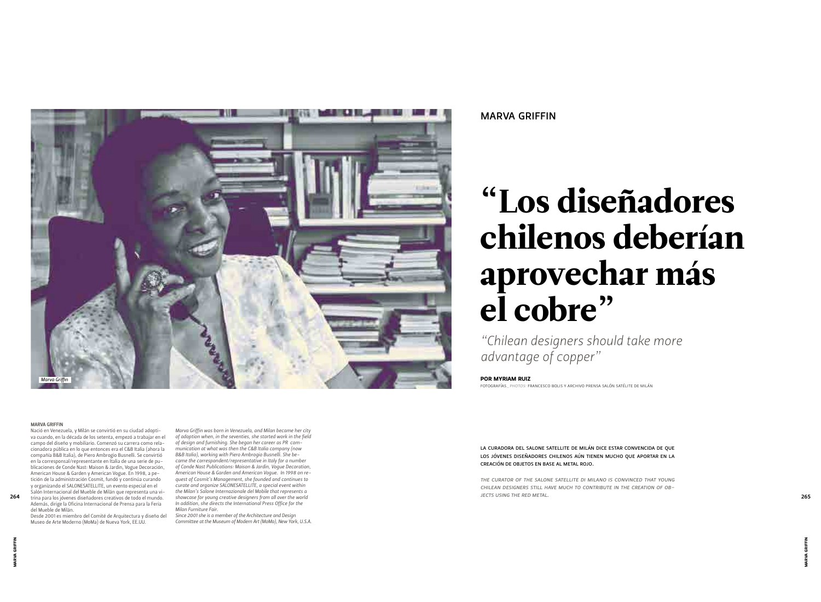# "Los diseñadores chilenos deberían aprovechar más el cobre"

*"Chilean designers should take more advantage of copper"*

LA CURADORA DEL SALONE SATELLITE DE MILÁN DICE ESTAR CONVENCIDA DE QUE LOS JÓVENES DISEÑADORES CHILENOS AÚN TIENEN MUCHO QUE APORTAR EN LA CREACIÓN DE OBJETOS EN BASE AL METAL ROJO.

*THE CURATOR OF THE SALONE SATELLITE DI MILANO IS CONVINCED THAT YOUNG CHILEAN DESIGNERS STILL HAVE MUCH TO CONTRIBUTE IN THE CREATION OF OB-JECTS USING THE RED METAL.* 

FOTOGRAFÍAS*\_PHOTOS:* FRANCESCO BOLIS Y ARCHIVO PRENSA SALÓN SATÉLITE DE MILÁN

# POR MYRIAM RUIZ

# MARVA GRIFFIN



## MARVA GRIFFIN

Nació en Venezuela, y Milán se convirtió en su ciudad adoptiva cuando, en la década de los setenta, empezó a trabajar en el campo del diseño y mobiliario. Comenzó su carrera como relacionadora pública en lo que entonces era el C&B Italia (ahora la compañía B&B Italia), de Piero Ambrogio Busnelli. Se convirtió en la corresponsal/representante en Italia de una serie de publicaciones de Conde Nast: Maison & Jardin, Vogue Decoración, American House & Garden y American Vogue. En 1998, a petición de la administración Cosmit, fundó y continúa curando y organizando el SALONESATELLITE, un evento especial en el Salón Internacional del Mueble de Milán que representa una vi-Además, dirige la Oficina Internacional de Prensa para la Feria

264 trina para los jóvenes diseñadores creativos de todo el mundo. Showcase for young creative designers from all over the world **2008** 2009 and the world **265** 2008 of the RED METAL. *Marva Griffin was born in Venezuela, and Milan became her city of adoption when, in the seventies, she started work in the field of design and furnishing. She began her career as PR communication at what was then the C&B Italia company (now B&B Italia), working with Piero Ambrogio Busnelli. She became the correspondent/representative in Italy for a number of Conde Nast Publications: Maison & Jardin, Vogue Decoration, American House & Garden and American Vogue. In 1998 on request of Cosmit's Management, she founded and continues to curate and organize SALONESATELLITE, a special event within the Milan's Salone Internazionale del Mobile that represents a showcase for young creative designers from all over the world In addition, she directs the International Press Office for the Milan Furniture Fair.*

del Mueble de Milán. Desde 2001 es miembro del Comité de Arquitectura y diseño del Museo de Arte Moderno (MoMa) de Nueva York, EE.UU.

*Since 2001 she is a member of the Architecture and Design Committee at the Museum of Modern Art (MoMa), New York, U.S.A.*

MARVA GRIFFIN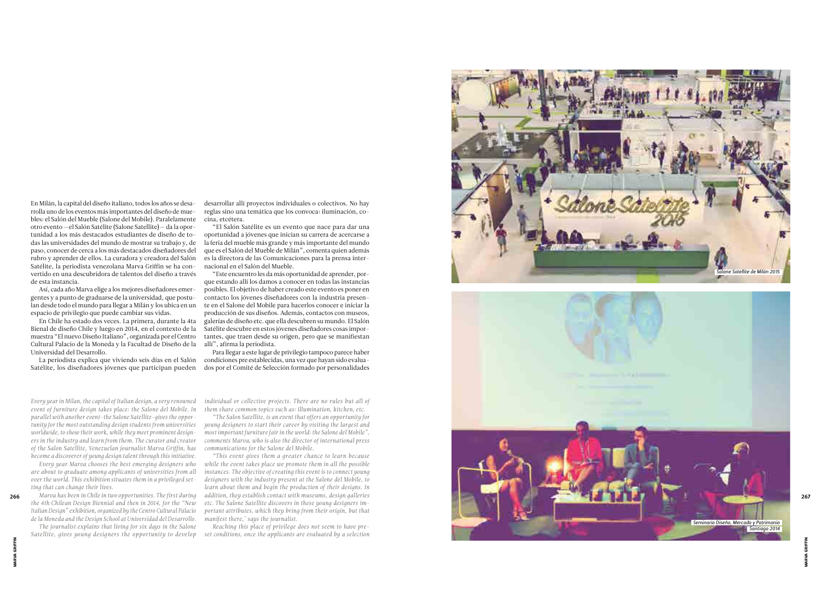En Milán, la capital del diseño italiano, todos los años se desa rrolla uno de los eventos más importantes del diseño de mue bles: el Salón del Mueble (Salone del Mobile). Paralelamente otro evento —el Salón Satélite (Salone Satellite) — da la opor tunidad a los más destacados estudiantes de diseño de to das las universidades del mundo de mostrar su trabajo y, de paso, conocer de cerca a los más destacados diseñadores del rubro y aprender de ellos. La curadora y creadora del Salón Satélite, la periodista venezolana Marva Griffin se ha con vertido en una descubridora de talentos del diseño a través de esta instancia.

Así, cada año Marva elige a los mejores diseñadores emer gentes y a punto de graduarse de la universidad, que postu lan desde todo el mundo para llegar a Milán y los ubica en un espacio de privilegio que puede cambiar sus vidas.

En Chile ha estado dos veces. La primera, durante la 4ta Bienal de diseño Chile y luego en 2014, en el contexto de la muestra "El nuevo Diseño Italiano", organizada por el Centro Cultural Palacio de la Moneda y la Facultad de Diseño de la Universidad del Desarrollo.

La periodista explica que viviendo seis días en el Salón Satélite, los diseñadores jóvenes que participan pueden desarrollar allí proyectos individuales o colectivos. No hay reglas sino una temática que los convoca: iluminación, co cina, etcétera.

"El Salón Satélite es un evento que nace para dar una oportunidad a jóvenes que inician su carrera de acercarse a la feria del mueble más grande y más importante del mundo que es el Salón del Mueble de Milán", comenta quien además es la directora de las Comunicaciones para la prensa inter nacional en el Salón del Mueble.

"Este encuentro les da más oportunidad de aprender, por que estando allí los damos a conocer en todas las instancias posibles. El objetivo de haber creado este evento es poner en contacto los jóvenes diseñadores con la industria presen te en el Salone del Mobile para hacerlos conocer e iniciar la producción de sus diseños. Además, contactos con museos, galerías de diseño etc. que ella descubren su mundo. El Salón Satélite descubre en estos jóvenes diseñadores cosas impor tantes, que traen desde su origen, pero que se manifiestan allí", afirma la periodista.

Para llegar a este lugar de privilegio tampoco parece haber condiciones pre establecidas, una vez que hayan sido evalua dos por el Comité de Selección formado por personalidades

*Every year in Milan, the capital of Italian design, a very renowned event of furniture design takes place: the Salone del Mobile. In parallel with another event–the Salone Satellite–gives the oppor tunity for the most outstanding design students from universities worldwide, to show their work, while they meet prominent design ers in the industry and learn from them. The curator and creator of the Salon Satellite, Venezuelan journalist Marva Griffin, has become a discoverer of young design talent through this initiative.*

*Every year Marva chooses the best emerging designers who are about to graduate among applicants of universities from all over the world. This exhibition situates them in a privileged set ting that can change their lives.*

*Marva has been in Chile in two opportunities. The first during the 4th Chilean Design Biennial and then in 2014, for the "New Italian Design" exhibition, organized by the Centro Cultural Palacio de la Moneda and the Design School at Universidad del Desarrollo.*

*The journalist explains that living for six days in the Salone Satellite, gives young designers the opportunity to develop*  *individual or collective projects. There are no rules but all of them share common topics such as: illumination, kitchen, etc.*

*"The Salon Satellite, is an event that offers an opportunity for young designers to start their career by visiting the largest and most important furniture fair in the world: the Salone del Mobile", comments Marva, who is also the director of international press communications for the Salone del Mobile.*

*"This event gives them a greater chance to learn because while the event takes place we promote them in all the possible instances. The objective of creating this event is to connect young designers with the industry present at the Salone del Mobile, to learn about them and begin the production of their designs. In etc. The Salone Satellite discovers in these young designers im portant attributes, which they bring from their origin, but that manifest there," says the journalist.*



*Reaching this place of privilege does not seem to have preset conditions, once the applicants are evaluated by a selection* 

MARVA GRIFFIN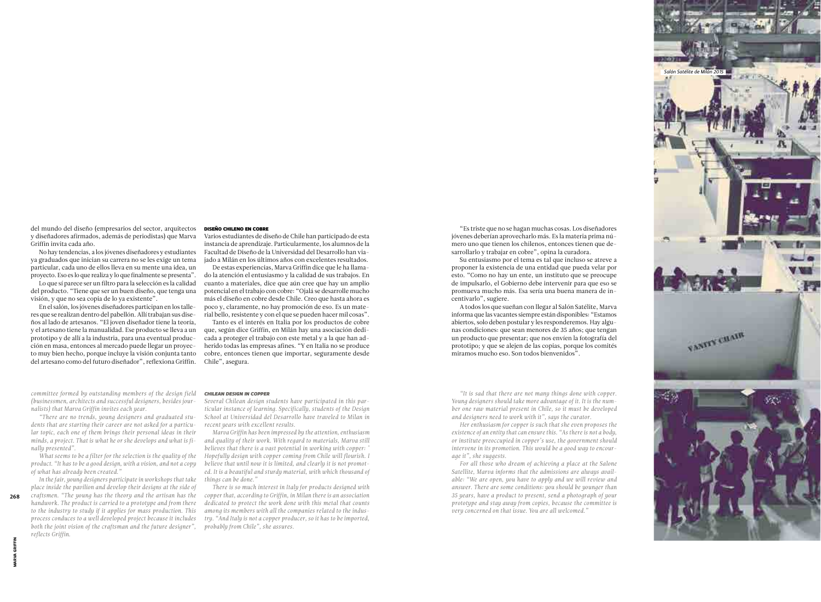"Es triste que no se hagan muchas cosas. Los diseñadores jóvenes deberían aprovecharlo más. Es la materia prima número uno que tienen los chilenos, entonces tienen que desarrollarlo y trabajar en cobre", opina la curadora.

Su entusiasmo por el tema es tal que incluso se atreve a proponer la existencia de una entidad que pueda velar por esto. "Como no hay un ente, un instituto que se preocupe de impulsarlo, el Gobierno debe intervenir para que eso se promueva mucho más. Esa sería una buena manera de incentivarlo", sugiere.

A todos los que sueñan con llegar al Salón Satélite, Marva informa que las vacantes siempre están disponibles: "Estamos abiertos, solo deben postular y les responderemos. Hay algunas condiciones: que sean menores de 35 años; que tengan un producto que presentar; que nos envíen la fotografía del prototipo; y que se alejen de las copias, porque los comités miramos mucho eso. Son todos bienvenidos".

*"It is sad that there are not many things done with copper. Young designers should take more advantage of it. It is the number one raw material present in Chile, so it must be developed and designers need to work with it", says the curator.*

*Her enthusiasm for copper is such that she even proposes the existence of an entity that can ensure this. "As there is not a body, or institute preoccupied in copper's use, the government should intervene in its promotion. This would be a good way to encourage it", she suggests.*

*For all those who dream of achieving a place at the Salone Satellite, Marva informs that the admissions are always available: "We are open, you have to apply and we will review and answer. There are some conditions: you should be younger than 35 years, have a product to present, send a photograph of your prototype and stay away from copies, because the committee is very concerned on that issue. You are all welcomed."*

del mundo del diseño (empresarios del sector, arquitectos y diseñadores afirmados, además de periodistas) que Marva Griffin invita cada año.

No hay tendencias, a los jóvenes diseñadores y estudiantes ya graduados que inician su carrera no se les exige un tema particular, cada uno de ellos lleva en su mente una idea, un proyecto. Eso es lo que realiza y lo que finalmente se presenta".

Lo que sí parece ser un filtro para la selección es la calidad del producto. "Tiene que ser un buen diseño, que tenga una visión, y que no sea copia de lo ya existente".

En el salón, los jóvenes diseñadores participan en los talleres que se realizan dentro del pabellón. Allí trabajan sus diseños al lado de artesanos. "El joven diseñador tiene la teoría, y el artesano tiene la manualidad. Ese producto se lleva a un prototipo y de allí a la industria, para una eventual producción en masa, entonces al mercado puede llegar un proyecto muy bien hecho, porque incluye la visión conjunta tanto del artesano como del futuro diseñador", reflexiona Griffin.

DISEÑO CHILENO EN COBRE

Varios estudiantes de diseño de Chile han participado de esta instancia de aprendizaje. Particularmente, los alumnos de la Facultad de Diseño de la Universidad del Desarrollo han viajado a Milán en los últimos años con excelentes resultados.

De estas experiencias, Marva Griffin dice que le ha llamado la atención el entusiasmo y la calidad de sus trabajos. En cuanto a materiales, dice que aún cree que hay un amplio potencial en el trabajo con cobre: "Ojalá se desarrolle mucho más el diseño en cobre desde Chile. Creo que hasta ahora es poco y, claramente, no hay promoción de eso. Es un material bello, resistente y con el que se pueden hacer mil cosas".

Tanto es el interés en Italia por los productos de cobre que, según dice Griffin, en Milán hay una asociación dedicada a proteger el trabajo con este metal y a la que han adherido todas las empresas afines. "Y en Italia no se produce cobre, entonces tienen que importar, seguramente desde Chile", asegura.

*committee formed by outstanding members of the design field (businessmen, architects and successful designers, besides journalists) that Marva Griffin invites each year.* 

*"There are no trends, young designers and graduated students that are starting their career are not asked for a particular topic, each one of them brings their personal ideas in their minds, a project. That is what he or she develops and what is finally presented".*

*What seems to be a filter for the selection is the quality of the product. "It has to be a good design, with a vision, and not a copy of what has already been created."*

*In the fair, young designers participate in workshops that take place inside the pavilion and develop their designs at the side of craftsmen. "The young has the theory and the artisan has the handwork. The product is carried to a prototype and from there to the industry to study if it applies for mass production. This process conduces to a well developed project because it includes both the joint vision of the craftsman and the future designer", reflects Griffin.*

# *CHILEAN DESIGN IN COPPER*

*Several Chilean design students have participated in this particular instance of learning. Specifically, students of the Design School at Universidad del Desarrollo have traveled to Milan in recent years with excellent results.*

*Marva Griffin has been impressed by the attention, enthusiasm and quality of their work. With regard to materials, Marva still believes that there is a vast potential in working with copper: " Hopefully design with copper coming from Chile will flourish. I believe that until now it is limited, and clearly it is not promoted. It is a beautiful and sturdy material, with which thousand of things can be done."* 

*There is so much interest in Italy for products designed with copper that, according to Griffin, in Milan there is an association dedicated to protect the work done with this metal that counts among its members with all the companies related to the industry. "And Italy is not a copper producer, so it has to be imported, probably from Chile", she assures.*

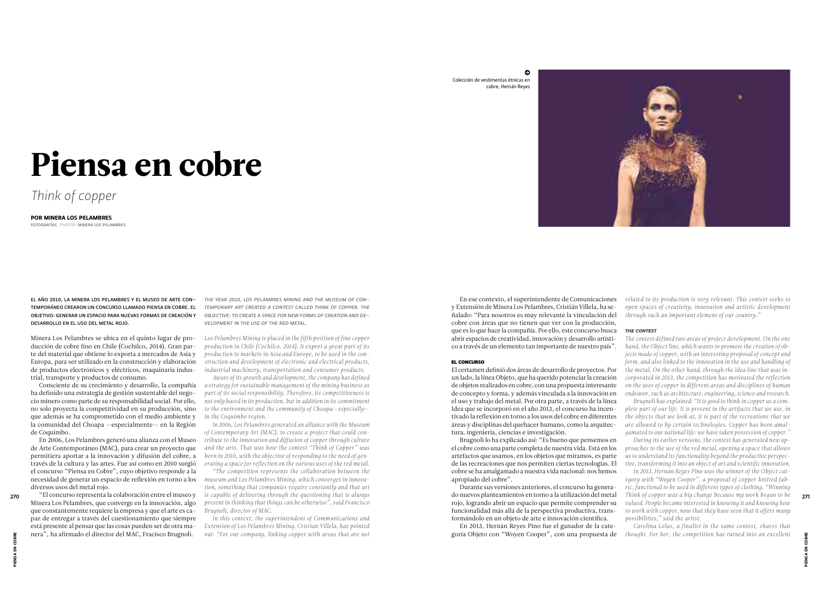# Piensa en cobre

*Think of copper*

EL AÑO 2010, LA MINERA LOS PELAMBRES Y EL MUSEO DE ARTE CON-TEMPORÁNEO CREARON UN CONCURSO LLAMADO PIENSA EN COBRE. EL OBJETIVO: GENERAR UN ESPACIO PARA NUEVAS FORMAS DE CREACIÓN Y DESARROLLO EN EL USO DEL METAL ROJO.

*THE YEAR 2010, LOS PELAMBRES MINING AND THE MUSEUM OF CON-TEMPORARY ART CREATED A CONTEST CALLED THINK OF COPPER. THE OBJECTIVE: TO CREATE A SPACE FOR NEW FORMS OF CREATION AND DE-VELOPMENT IN THE USE OF THE RED METAL.*

Minera Los Pelambres se ubica en el quinto lugar de producción de cobre fino en Chile (Cochilco, 2014). Gran parte del material que obtiene lo exporta a mercados de Asia y Europa, para ser utilizado en la construcción y elaboración de productos electrónicos y eléctricos, maquinaria industrial, transporte y productos de consumo.

Consciente de su crecimiento y desarrollo, la compañía ha definido una estrategia de gestión sustentable del negocio minero como parte de su responsabilidad social. Por ello, no solo proyecta la competitividad en su producción, sino que además se ha comprometido con el medio ambiente y la comunidad del Choapa —especialmente— en la Región de Coquimbo.

En 2006, Los Pelambres generó una alianza con el Museo de Arte Contemporáneo (MAC), para crear un proyecto que permitiera aportar a la innovación y difusión del cobre, a través de la cultura y las artes. Fue así como en 2010 surgió el concurso "Piensa en Cobre", cuyo objetivo responde a la necesidad de generar un espacio de reflexión en torno a los diversos usos del metal rojo.

> *In this context, the superintendent of Communications and Extension of Los Pelambres Mining, Cristian Villela, has pointed out: "For our company, linking copper with areas that are not*

"El concurso representa la colaboración entre el museo y Minera Los Pelambres, que converge en la innovación, algo que constantemente requiere la empresa y que el arte es capaz de entregar a través del cuestionamiento que siempre está presente al pensar que las cosas pueden ser de otra manera", ha afirmado el director del MAC, Fracisco Brugnoli.

*Los Pelambres Mining is placed in the fifth position of fine copper production in Chile (Cochilco, 2014). It export a great part of its production to markets in Asia and Europe, to be used in the construction and development of electronic and electrical products, industrial machinery, transportation and consumer products.*

*Aware of its growth and development, the company has defined a strategy for sustainable management of the mining business as part of its social responsibility. Therefore, its competitiveness is not only based in its production, but in addition in its commitment to the environment and the community of Choapa*—*especially in the Coquimbo region.*

*In 2006, Los Pelambres generated an alliance with the Museum of Contemporary Art (MAC), to create a project that could contribute to the innovation and diffusion of copper through culture and the arts. That was how the contest "Think of Copper" was born in 2010, with the objective of responding to the need of generating a space for reflection on the various uses of the red metal.*

FOTOGRAFÍAS*\_PHOTOS:* MINERA LOS PELAMBRES

POR MINERA LOS PELAMBRES

En ese contexto, el superintendente de Comunicaciones y Extensión de Minera Los Pelambres, Cristián Villela, ha señalado: "Para nosotros es muy relevante la vinculación del cobre con áreas que no tienen que ver con la producción, que es lo que hace la compañía. Por ello, este concurso busca abrir espacios de creatividad, innovación y desarrollo artístico a través de un elemento tan importante de nuestro país".

# EL CONCURSO

El certamen definió dos áreas de desarrollo de proyectos. Por un lado, la línea Objeto, que ha querido potenciar la creación de objetos realizados en cobre, con una propuesta interesante de concepto y forma, y además vinculada a la innovación en el uso y trabajo del metal. Por otra parte, a través de la línea Idea que se incorporó en el año 2013, el concurso ha incentivado la reflexión en torno a los usos del cobre en diferentes áreas y disciplinas del quehacer humano, como la arquitectura, ingeniería, ciencias e investigación.

Brugnoli lo ha explicado así: "Es bueno que pensemos en el cobre como una parte completa de nuestra vida. Está en los artefactos que usamos, en los objetos que miramos, es parte de las recreaciones que nos permiten ciertas tecnologías. El cobre se ha amalgamado a nuestra vida nacional: nos hemos apropiado del cobre".

Durante sus versiones anteriores, el concurso ha generado nuevos planteamientos en torno a la utilización del metal rojo, logrando abrir un espacio que permite comprender su funcionalidad más allá de la perspectiva productiva, transformándolo en un objeto de arte e innovación científica.

*"The competition represents the collaboration between the museum and Los Pelambres Mining, which converges in innovation, something that companies require constantly and that art is capable of delivering through the questioning that is always present in thinking that things can be otherwise", said Francisco Brugnoli, director of MAC. Think of copper was a big change because my work began to be*  270 271

*related to its production is very relevant. This contest seeks to open spaces of creativity, innovation and artistic development through such an important element of our country."*

# *THE CONTEST*

En 2013, Hernán Reyes Pino fue el ganador de la categoría Objeto con "Woyen Cooper", con una propuesta de *thought. For her, the competition has turned into an excellent* 

*The contest defined two areas of project development. On the one hand, the Object line, which wants to promote the creation of objects made of copper, with an interesting proposal of concept and form, and also linked to the innovation in the use and handling of the metal. On the other hand, through the Idea line that was incorporated in 2013, the competition has motivated the reflection on the uses of copper in different areas and disciplines of human endeavor, such as architecture, engineering, science and research. plete part of our life. It is present in the artifacts that we use, in the objects that we look at, it is part of the recreations that we are allowed to by certain technologies. Copper has been amalgamated to our national life: we have taken possession of copper." proaches to the use of the red metal, opening a space that allows us to understand its functionality beyond the productive perspective, transforming it into an object of art and scientific innovation. egory with "Woyen Cooper", a proposal of copper knitted fabric, functional to be used in different types of clothing. "Winning valued. People became interested in knowing it and knowing how to work with copper, now that they have seen that it offers many* 

*Brugnoli has explained: "It is good to think in copper as a com-During its earlier versions, the contest has generated new ap-In 2013, Hernán Reyes Pino was the winner of the Object cat-*

*possibilities," said the artist.*

*Carolina Lolas, a finalist in the same contest, shares that* 

Colección de vestimentas étnicas en cobre, Hernán Reyes